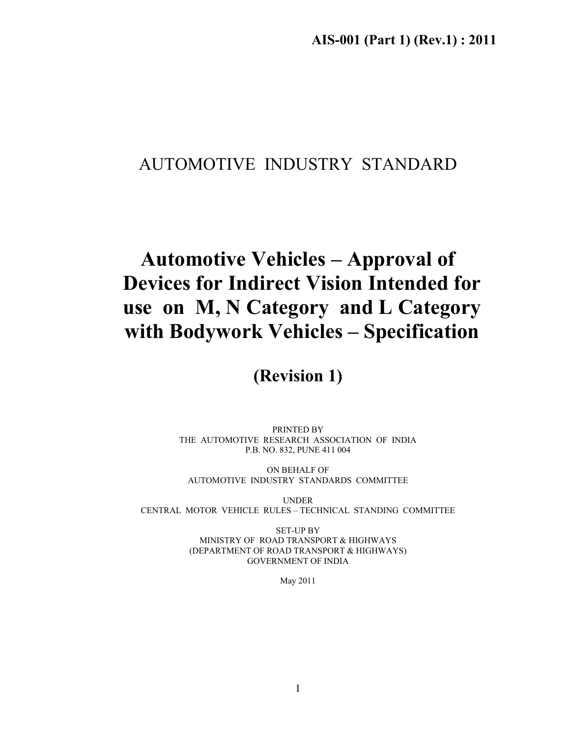### AUTOMOTIVE INDUSTRY STANDARD

# **Automotive Vehicles – Approval of Devices for Indirect Vision Intended for use on M, N Category and L Category with Bodywork Vehicles – Specification**

**(Revision 1)** 

PRINTED BY THE AUTOMOTIVE RESEARCH ASSOCIATION OF INDIA P.B. NO. 832, PUNE 411 004

ON BEHALF OF AUTOMOTIVE INDUSTRY STANDARDS COMMITTEE

UNDER CENTRAL MOTOR VEHICLE RULES – TECHNICAL STANDING COMMITTEE

> SET-UP BY MINISTRY OF ROAD TRANSPORT & HIGHWAYS (DEPARTMENT OF ROAD TRANSPORT & HIGHWAYS) GOVERNMENT OF INDIA

> > May 2011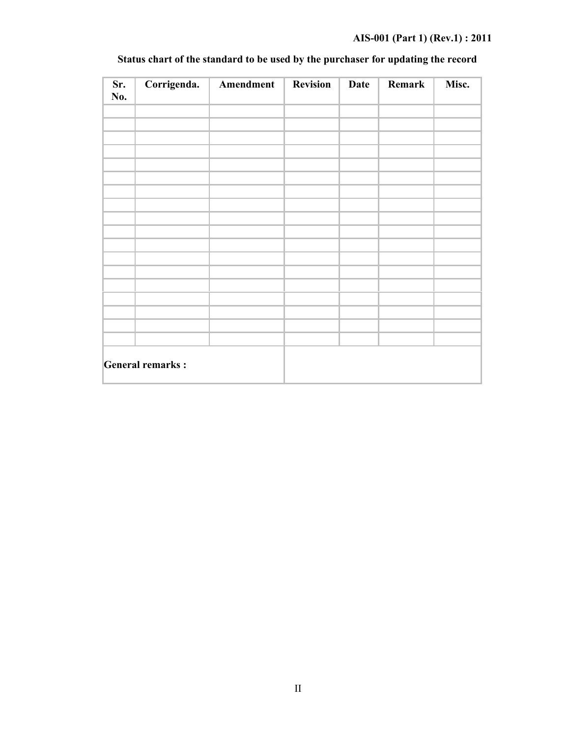### **AIS-001 (Part 1) (Rev.1) : 2011**

| Sr.<br>No. | Corrigenda.             | Amendment | Revision | Date | Remark | Misc. |
|------------|-------------------------|-----------|----------|------|--------|-------|
|            |                         |           |          |      |        |       |
|            |                         |           |          |      |        |       |
|            |                         |           |          |      |        |       |
|            |                         |           |          |      |        |       |
|            |                         |           |          |      |        |       |
|            |                         |           |          |      |        |       |
|            |                         |           |          |      |        |       |
|            |                         |           |          |      |        |       |
|            |                         |           |          |      |        |       |
|            |                         |           |          |      |        |       |
|            |                         |           |          |      |        |       |
|            |                         |           |          |      |        |       |
|            |                         |           |          |      |        |       |
|            |                         |           |          |      |        |       |
|            |                         |           |          |      |        |       |
|            |                         |           |          |      |        |       |
|            |                         |           |          |      |        |       |
|            |                         |           |          |      |        |       |
|            | <b>General remarks:</b> |           |          |      |        |       |

### **Status chart of the standard to be used by the purchaser for updating the record**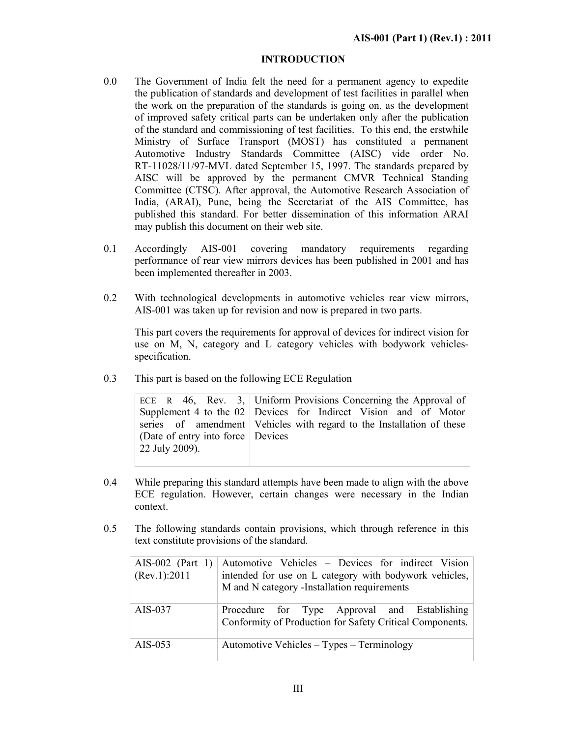### **INTRODUCTION**

- 0.0 The Government of India felt the need for a permanent agency to expedite the publication of standards and development of test facilities in parallel when the work on the preparation of the standards is going on, as the development of improved safety critical parts can be undertaken only after the publication of the standard and commissioning of test facilities. To this end, the erstwhile Ministry of Surface Transport (MOST) has constituted a permanent Automotive Industry Standards Committee (AISC) vide order No. RT-11028/11/97-MVL dated September 15, 1997. The standards prepared by AISC will be approved by the permanent CMVR Technical Standing Committee (CTSC). After approval, the Automotive Research Association of India, (ARAI), Pune, being the Secretariat of the AIS Committee, has published this standard. For better dissemination of this information ARAI may publish this document on their web site.
- 0.1 Accordingly AIS-001 covering mandatory requirements regarding performance of rear view mirrors devices has been published in 2001 and has been implemented thereafter in 2003.
- 0.2 With technological developments in automotive vehicles rear view mirrors, AIS-001 was taken up for revision and now is prepared in two parts.

This part covers the requirements for approval of devices for indirect vision for use on M, N, category and L category vehicles with bodywork vehiclesspecification.

0.3 This part is based on the following ECE Regulation

|                                              | ECE R $46$ , Rev. 3, Uniform Provisions Concerning the Approval of      |
|----------------------------------------------|-------------------------------------------------------------------------|
|                                              | Supplement 4 to the $02$ Devices for Indirect Vision and of Motor       |
|                                              | series of amendment   Vehicles with regard to the Installation of these |
| Devices CD (Date of entry into force Devices |                                                                         |
| 22 July 2009).                               |                                                                         |
|                                              |                                                                         |

- 0.4 While preparing this standard attempts have been made to align with the above ECE regulation. However, certain changes were necessary in the Indian context.
- 0.5 The following standards contain provisions, which through reference in this text constitute provisions of the standard.

|  | (Rev.1): 2011 | AIS-002 (Part 1) Automotive Vehicles – Devices for indirect Vision<br>intended for use on L category with bodywork vehicles,<br>M and N category -Installation requirements |
|--|---------------|-----------------------------------------------------------------------------------------------------------------------------------------------------------------------------|
|  | AIS-037       | Procedure for Type Approval and Establishing<br>Conformity of Production for Safety Critical Components.                                                                    |
|  | AIS-053       | Automotive Vehicles – Types – Terminology                                                                                                                                   |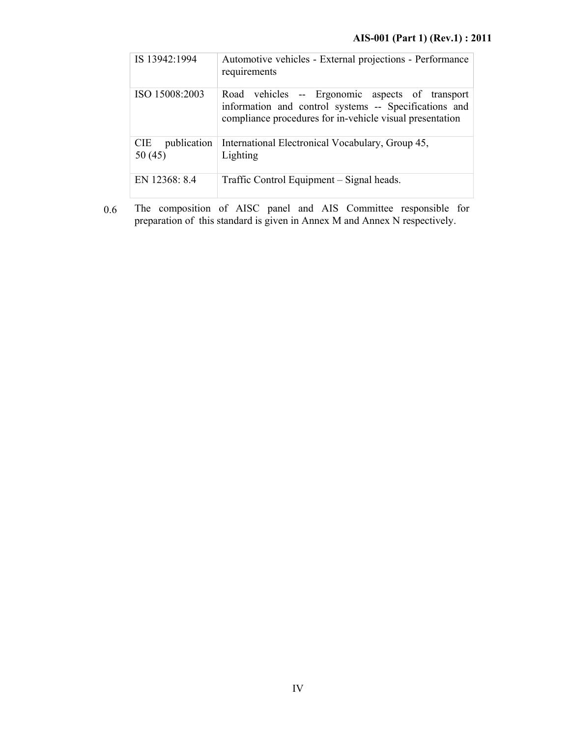|  | IS 13942:1994                       | Automotive vehicles - External projections - Performance<br>requirements                                                                                             |
|--|-------------------------------------|----------------------------------------------------------------------------------------------------------------------------------------------------------------------|
|  | ISO 15008:2003                      | Road vehicles -- Ergonomic aspects of transport<br>information and control systems -- Specifications and<br>compliance procedures for in-vehicle visual presentation |
|  | <b>CIE</b><br>publication<br>50(45) | International Electronical Vocabulary, Group 45,<br>Lighting                                                                                                         |
|  | EN 12368: 8.4                       | Traffic Control Equipment – Signal heads.                                                                                                                            |

0.6 The composition of AISC panel and AIS Committee responsible for preparation of this standard is given in Annex M and Annex N respectively.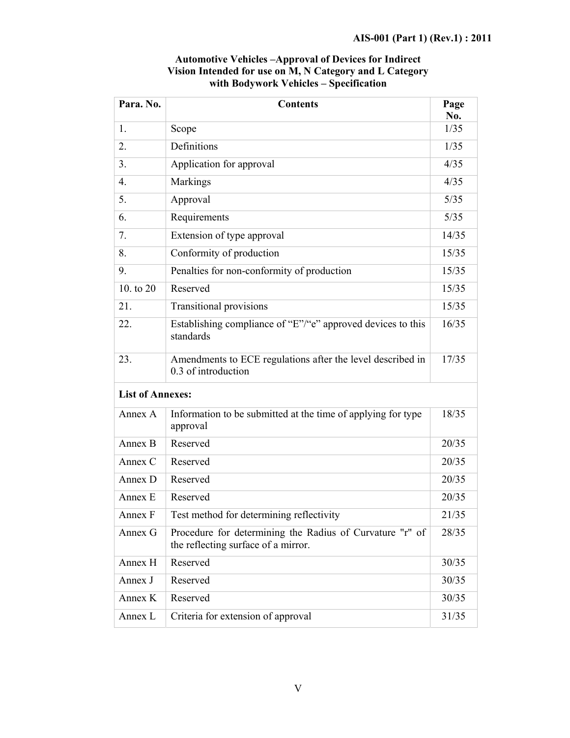| Para. No.               | <b>Contents</b>                                                                                 |        |  |
|-------------------------|-------------------------------------------------------------------------------------------------|--------|--|
| 1.                      | Scope                                                                                           | 1/35   |  |
| 2.                      | Definitions                                                                                     | 1/35   |  |
| 3.                      | Application for approval                                                                        | 4/35   |  |
| 4.                      | Markings                                                                                        | 4/35   |  |
| 5.                      | Approval                                                                                        | $5/35$ |  |
| 6.                      | Requirements                                                                                    | 5/35   |  |
| 7.                      | Extension of type approval                                                                      | 14/35  |  |
| 8.                      | Conformity of production                                                                        | 15/35  |  |
| 9.                      | Penalties for non-conformity of production                                                      | 15/35  |  |
| 10. to 20               | Reserved                                                                                        | 15/35  |  |
| 21.                     | <b>Transitional provisions</b>                                                                  | 15/35  |  |
| 22.                     | Establishing compliance of "E"/"e" approved devices to this<br>standards                        | 16/35  |  |
| 23.                     | Amendments to ECE regulations after the level described in<br>0.3 of introduction               | 17/35  |  |
| <b>List of Annexes:</b> |                                                                                                 |        |  |
| Annex A                 | Information to be submitted at the time of applying for type<br>approval                        | 18/35  |  |
| Annex B                 | Reserved                                                                                        | 20/35  |  |
| Annex C                 | Reserved                                                                                        | 20/35  |  |
| Annex D                 | Reserved                                                                                        | 20/35  |  |
| Annex E                 | Reserved                                                                                        | 20/35  |  |
| Annex F                 | Test method for determining reflectivity                                                        | 21/35  |  |
| Annex G                 | Procedure for determining the Radius of Curvature "r" of<br>the reflecting surface of a mirror. | 28/35  |  |
| Annex H                 | Reserved                                                                                        | 30/35  |  |
| Annex J                 | Reserved                                                                                        | 30/35  |  |
| Annex K                 | Reserved                                                                                        | 30/35  |  |
| Annex L                 | Criteria for extension of approval                                                              | 31/35  |  |

### **Automotive Vehicles –Approval of Devices for Indirect Vision Intended for use on M, N Category and L Category with Bodywork Vehicles – Specification**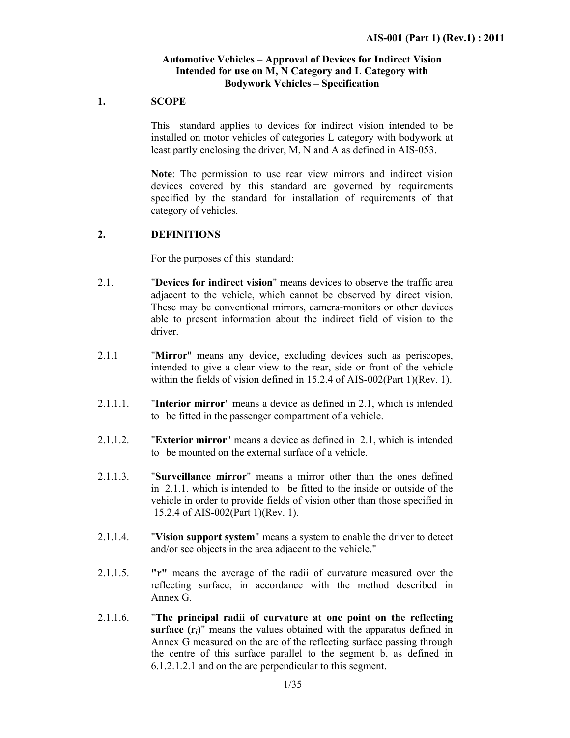### **Automotive Vehicles – Approval of Devices for Indirect Vision Intended for use on M, N Category and L Category with Bodywork Vehicles – Specification**

### **1. SCOPE**

This standard applies to devices for indirect vision intended to be installed on motor vehicles of categories L category with bodywork at least partly enclosing the driver, M, N and A as defined in AIS-053.

 **Note**: The permission to use rear view mirrors and indirect vision devices covered by this standard are governed by requirements specified by the standard for installation of requirements of that category of vehicles.

### **2. DEFINITIONS**

For the purposes of this standard:

- 2.1. "**Devices for indirect vision**" means devices to observe the traffic area adjacent to the vehicle, which cannot be observed by direct vision. These may be conventional mirrors, camera-monitors or other devices able to present information about the indirect field of vision to the driver.
- 2.1.1 "**Mirror**" means any device, excluding devices such as periscopes, intended to give a clear view to the rear, side or front of the vehicle within the fields of vision defined in 15.2.4 of AIS-002(Part 1)(Rev. 1).
- 2.1.1.1. "**Interior mirror**" means a device as defined in 2.1, which is intended to be fitted in the passenger compartment of a vehicle.
- 2.1.1.2. "**Exterior mirror**" means a device as defined in 2.1, which is intended to be mounted on the external surface of a vehicle.
- 2.1.1.3. "**Surveillance mirror**" means a mirror other than the ones defined in 2.1.1. which is intended to be fitted to the inside or outside of the vehicle in order to provide fields of vision other than those specified in 15.2.4 of AIS-002(Part 1)(Rev. 1).
- 2.1.1.4. "**Vision support system**" means a system to enable the driver to detect and/or see objects in the area adjacent to the vehicle."
- 2.1.1.5. **"r"** means the average of the radii of curvature measured over the reflecting surface, in accordance with the method described in Annex G.
- 2.1.1.6. "**The principal radii of curvature at one point on the reflecting surface**  $(r_i)$ " means the values obtained with the apparatus defined in Annex G measured on the arc of the reflecting surface passing through the centre of this surface parallel to the segment b, as defined in 6.1.2.1.2.1 and on the arc perpendicular to this segment.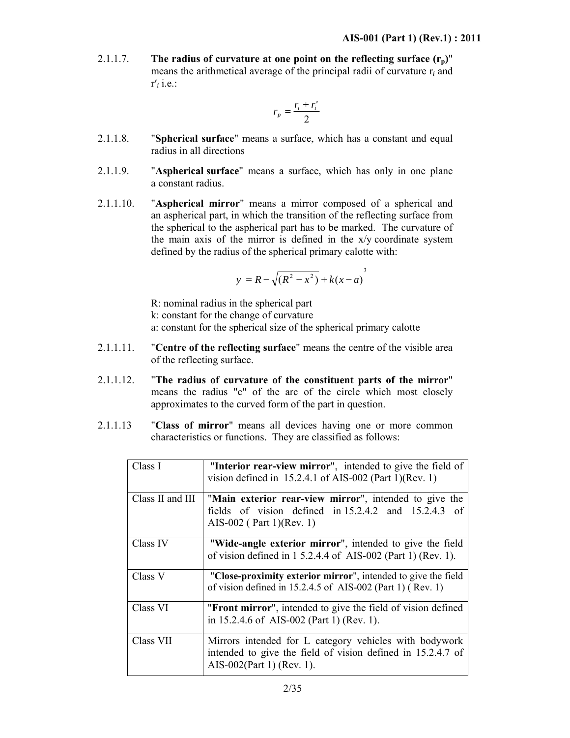2.1.1.7. **The radius of curvature at one point on the reflecting surface**  $(r_n)$ **"** means the arithmetical average of the principal radii of curvature r*<sup>i</sup>* and r′*i* i.e.:

$$
r_p = \frac{r_i + r'_i}{2}
$$

- 2.1.1.8. "**Spherical surface**" means a surface, which has a constant and equal radius in all directions
- 2.1.1.9. "**Aspherical surface**" means a surface, which has only in one plane a constant radius.
- 2.1.1.10. "**Aspherical mirror**" means a mirror composed of a spherical and an aspherical part, in which the transition of the reflecting surface from the spherical to the aspherical part has to be marked. The curvature of the main axis of the mirror is defined in the x/y coordinate system defined by the radius of the spherical primary calotte with:

$$
y = R - \sqrt{(R^2 - x^2)} + k(x - a)^3
$$

R: nominal radius in the spherical part k: constant for the change of curvature a: constant for the spherical size of the spherical primary calotte

- 2.1.1.11. "**Centre of the reflecting surface**" means the centre of the visible area of the reflecting surface.
- 2.1.1.12. "**The radius of curvature of the constituent parts of the mirror**" means the radius "c" of the arc of the circle which most closely approximates to the curved form of the part in question.
- 2.1.1.13 "**Class of mirror**" means all devices having one or more common characteristics or functions. They are classified as follows:

| Class I          | "Interior rear-view mirror", intended to give the field of<br>vision defined in $15.2.4.1$ of AIS-002 (Part 1)(Rev. 1)                             |  |
|------------------|----------------------------------------------------------------------------------------------------------------------------------------------------|--|
| Class II and III | "Main exterior rear-view mirror", intended to give the<br>fields of vision defined in 15.2.4.2 and 15.2.4.3 of<br>AIS-002 (Part 1)(Rev. 1)         |  |
| Class IV         | "Wide-angle exterior mirror", intended to give the field<br>of vision defined in $1\,5.2.4.4$ of AIS-002 (Part 1) (Rev. 1).                        |  |
| Class V          | "Close-proximity exterior mirror", intended to give the field<br>of vision defined in $15.2.4.5$ of AIS-002 (Part 1) (Rev. 1)                      |  |
| Class VI         | "Front mirror", intended to give the field of vision defined<br>in 15.2.4.6 of AIS-002 (Part 1) (Rev. 1).                                          |  |
| Class VII        | Mirrors intended for L category vehicles with bodywork<br>intended to give the field of vision defined in 15.2.4.7 of<br>AIS-002(Part 1) (Rev. 1). |  |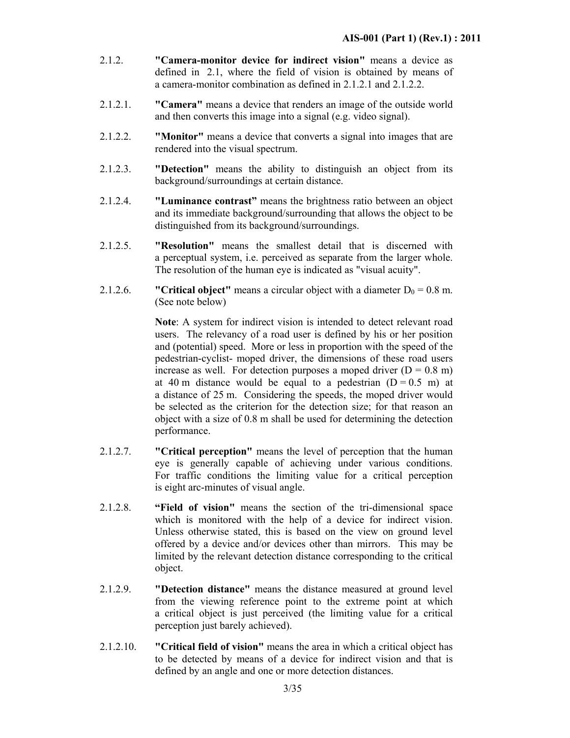- 2.1.2. **"Camera-monitor device for indirect vision"** means a device as defined in 2.1, where the field of vision is obtained by means of a camera-monitor combination as defined in 2.1.2.1 and 2.1.2.2.
- 2.1.2.1. **"Camera"** means a device that renders an image of the outside world and then converts this image into a signal (e.g. video signal).
- 2.1.2.2. **"Monitor"** means a device that converts a signal into images that are rendered into the visual spectrum.
- 2.1.2.3. **"Detection"** means the ability to distinguish an object from its background/surroundings at certain distance.
- 2.1.2.4. **"Luminance contrast"** means the brightness ratio between an object and its immediate background/surrounding that allows the object to be distinguished from its background/surroundings.
- 2.1.2.5. **"Resolution"** means the smallest detail that is discerned with a perceptual system, i.e. perceived as separate from the larger whole. The resolution of the human eye is indicated as "visual acuity".
- 2.1.2.6. **"Critical object"** means a circular object with a diameter  $D_0 = 0.8$  m. (See note below)

**Note**: A system for indirect vision is intended to detect relevant road users. The relevancy of a road user is defined by his or her position and (potential) speed. More or less in proportion with the speed of the pedestrian-cyclist- moped driver, the dimensions of these road users increase as well. For detection purposes a moped driver  $(D = 0.8 \text{ m})$ at 40 m distance would be equal to a pedestrian  $(D = 0.5 \text{ m})$  at a distance of 25 m. Considering the speeds, the moped driver would be selected as the criterion for the detection size; for that reason an object with a size of 0.8 m shall be used for determining the detection performance.

- 2.1.2.7. **"Critical perception"** means the level of perception that the human eye is generally capable of achieving under various conditions. For traffic conditions the limiting value for a critical perception is eight arc-minutes of visual angle.
- 2.1.2.8. **"Field of vision"** means the section of the tri-dimensional space which is monitored with the help of a device for indirect vision. Unless otherwise stated, this is based on the view on ground level offered by a device and/or devices other than mirrors. This may be limited by the relevant detection distance corresponding to the critical object.
- 2.1.2.9. **"Detection distance"** means the distance measured at ground level from the viewing reference point to the extreme point at which a critical object is just perceived (the limiting value for a critical perception just barely achieved).
- 2.1.2.10. **"Critical field of vision"** means the area in which a critical object has to be detected by means of a device for indirect vision and that is defined by an angle and one or more detection distances.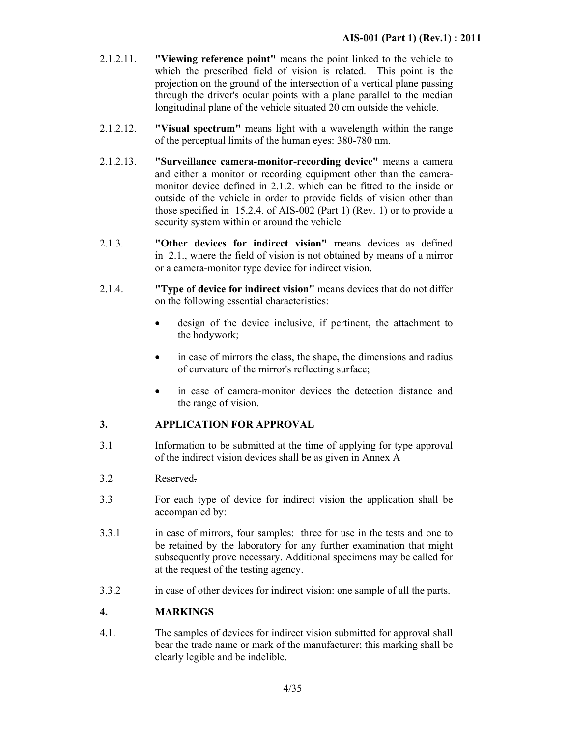- 2.1.2.11. **"Viewing reference point"** means the point linked to the vehicle to which the prescribed field of vision is related. This point is the projection on the ground of the intersection of a vertical plane passing through the driver's ocular points with a plane parallel to the median longitudinal plane of the vehicle situated 20 cm outside the vehicle.
- 2.1.2.12. **"Visual spectrum"** means light with a wavelength within the range of the perceptual limits of the human eyes: 380-780 nm.
- 2.1.2.13. **"Surveillance camera-monitor-recording device"** means a camera and either a monitor or recording equipment other than the cameramonitor device defined in 2.1.2. which can be fitted to the inside or outside of the vehicle in order to provide fields of vision other than those specified in 15.2.4. of AIS-002 (Part 1) (Rev. 1) or to provide a security system within or around the vehicle
- 2.1.3. **"Other devices for indirect vision"** means devices as defined in 2.1., where the field of vision is not obtained by means of a mirror or a camera-monitor type device for indirect vision.
- 2.1.4. **"Type of device for indirect vision"** means devices that do not differ on the following essential characteristics:
	- design of the device inclusive, if pertinent**,** the attachment to the bodywork;
	- in case of mirrors the class, the shape**,** the dimensions and radius of curvature of the mirror's reflecting surface;
	- in case of camera-monitor devices the detection distance and the range of vision.

### **3. APPLICATION FOR APPROVAL**

- 3.1 Information to be submitted at the time of applying for type approval of the indirect vision devices shall be as given in Annex A
- 3.2 Reserved.
- 3.3 For each type of device for indirect vision the application shall be accompanied by:
- 3.3.1 in case of mirrors, four samples: three for use in the tests and one to be retained by the laboratory for any further examination that might subsequently prove necessary. Additional specimens may be called for at the request of the testing agency.
- 3.3.2 in case of other devices for indirect vision: one sample of all the parts.

### **4. MARKINGS**

4.1. The samples of devices for indirect vision submitted for approval shall bear the trade name or mark of the manufacturer; this marking shall be clearly legible and be indelible.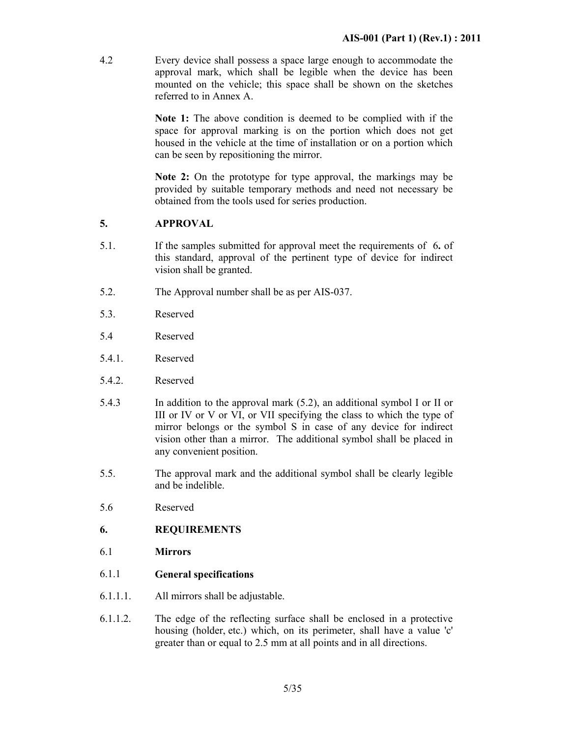4.2 Every device shall possess a space large enough to accommodate the approval mark, which shall be legible when the device has been mounted on the vehicle; this space shall be shown on the sketches referred to in Annex A.

> **Note 1:** The above condition is deemed to be complied with if the space for approval marking is on the portion which does not get housed in the vehicle at the time of installation or on a portion which can be seen by repositioning the mirror.

> **Note 2:** On the prototype for type approval, the markings may be provided by suitable temporary methods and need not necessary be obtained from the tools used for series production.

### **5. APPROVAL**

- 5.1. If the samples submitted for approval meet the requirements of 6**.** of this standard, approval of the pertinent type of device for indirect vision shall be granted.
- 5.2. The Approval number shall be as per AIS-037.
- 5.3. Reserved
- 5.4 Reserved
- 5.4.1. Reserved
- 5.4.2. Reserved
- 5.4.3 In addition to the approval mark (5.2), an additional symbol I or II or III or IV or V or VI, or VII specifying the class to which the type of mirror belongs or the symbol S in case of any device for indirect vision other than a mirror. The additional symbol shall be placed in any convenient position.
- 5.5. The approval mark and the additional symbol shall be clearly legible and be indelible.
- 5.6 Reserved

### **6. REQUIREMENTS**

- 6.1 **Mirrors**
- 6.1.1 **General specifications**
- 6.1.1.1. All mirrors shall be adjustable.
- 6.1.1.2. The edge of the reflecting surface shall be enclosed in a protective housing (holder, etc.) which, on its perimeter, shall have a value 'c' greater than or equal to 2.5 mm at all points and in all directions.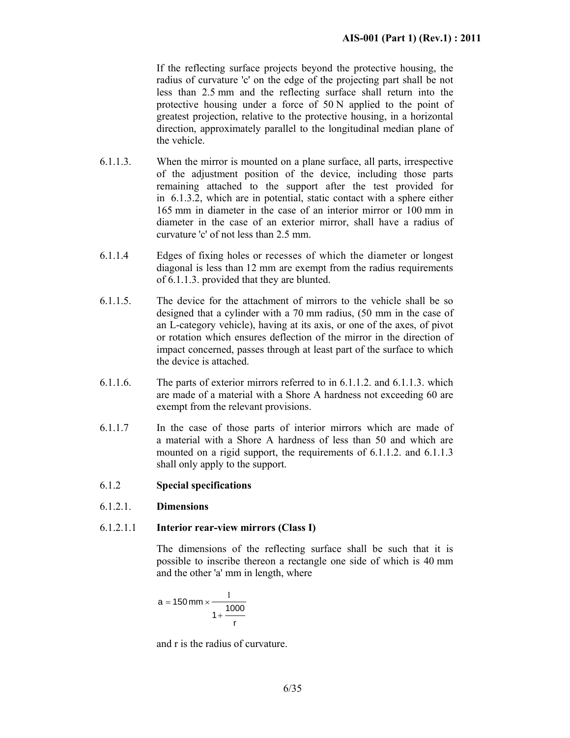If the reflecting surface projects beyond the protective housing, the radius of curvature 'c' on the edge of the projecting part shall be not less than 2.5 mm and the reflecting surface shall return into the protective housing under a force of 50 N applied to the point of greatest projection, relative to the protective housing, in a horizontal direction, approximately parallel to the longitudinal median plane of the vehicle.

- 6.1.1.3. When the mirror is mounted on a plane surface, all parts, irrespective of the adjustment position of the device, including those parts remaining attached to the support after the test provided for in 6.1.3.2, which are in potential, static contact with a sphere either 165 mm in diameter in the case of an interior mirror or 100 mm in diameter in the case of an exterior mirror, shall have a radius of curvature 'c' of not less than 2.5 mm.
- 6.1.1.4 Edges of fixing holes or recesses of which the diameter or longest diagonal is less than 12 mm are exempt from the radius requirements of 6.1.1.3. provided that they are blunted.
- 6.1.1.5. The device for the attachment of mirrors to the vehicle shall be so designed that a cylinder with a 70 mm radius, (50 mm in the case of an L-category vehicle), having at its axis, or one of the axes, of pivot or rotation which ensures deflection of the mirror in the direction of impact concerned, passes through at least part of the surface to which the device is attached.
- 6.1.1.6. The parts of exterior mirrors referred to in 6.1.1.2. and 6.1.1.3. which are made of a material with a Shore A hardness not exceeding 60 are exempt from the relevant provisions.
- 6.1.1.7 In the case of those parts of interior mirrors which are made of a material with a Shore A hardness of less than 50 and which are mounted on a rigid support, the requirements of 6.1.1.2. and 6.1.1.3 shall only apply to the support.

### 6.1.2 **Special specifications**

### 6.1.2.1. **Dimensions**

### 6.1.2.1.1 **Interior rear-view mirrors (Class I)**

 The dimensions of the reflecting surface shall be such that it is possible to inscribe thereon a rectangle one side of which is 40 mm and the other 'a' mm in length, where

$$
a = 150 \text{ mm} \times \frac{1}{1 + \frac{1000}{r}}
$$

and r is the radius of curvature.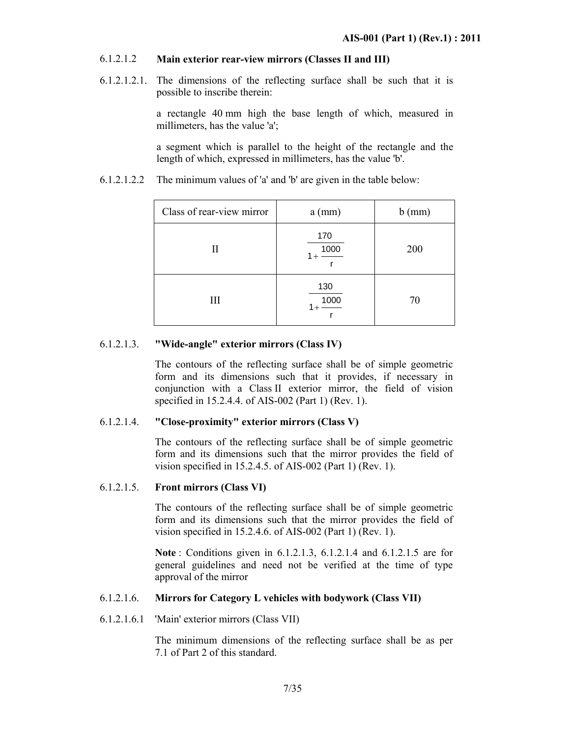### 6.1.2.1.2 **Main exterior rear-view mirrors (Classes II and III)**

6.1.2.1.2.1. The dimensions of the reflecting surface shall be such that it is possible to inscribe therein:

> a rectangle 40 mm high the base length of which, measured in millimeters, has the value 'a';

> a segment which is parallel to the height of the rectangle and the length of which, expressed in millimeters, has the value 'b'.

6.1.2.1.2.2 The minimum values of 'a' and 'b' are given in the table below:

| Class of rear-view mirror | $a$ (mm)             | $b$ (mm) |
|---------------------------|----------------------|----------|
| П                         | 170<br>1000<br>$1 +$ | 200      |
| III                       | 130<br>1000          | 70       |

### 6.1.2.1.3. **"Wide-angle" exterior mirrors (Class IV)**

 The contours of the reflecting surface shall be of simple geometric form and its dimensions such that it provides, if necessary in conjunction with a Class II exterior mirror, the field of vision specified in 15.2.4.4. of AIS-002 (Part 1) (Rev. 1).

### 6.1.2.1.4. **"Close-proximity" exterior mirrors (Class V)**

 The contours of the reflecting surface shall be of simple geometric form and its dimensions such that the mirror provides the field of vision specified in 15.2.4.5. of AIS-002 (Part 1) (Rev. 1).

### 6.1.2.1.5. **Front mirrors (Class VI)**

 The contours of the reflecting surface shall be of simple geometric form and its dimensions such that the mirror provides the field of vision specified in 15.2.4.6. of AIS-002 (Part 1) (Rev. 1).

**Note** : Conditions given in 6.1.2.1.3, 6.1.2.1.4 and 6.1.2.1.5 are for general guidelines and need not be verified at the time of type approval of the mirror

### 6.1.2.1.6. **Mirrors for Category L vehicles with bodywork (Class VII)**

6.1.2.1.6.1 'Main' exterior mirrors (Class VII)

 The minimum dimensions of the reflecting surface shall be as per 7.1 of Part 2 of this standard.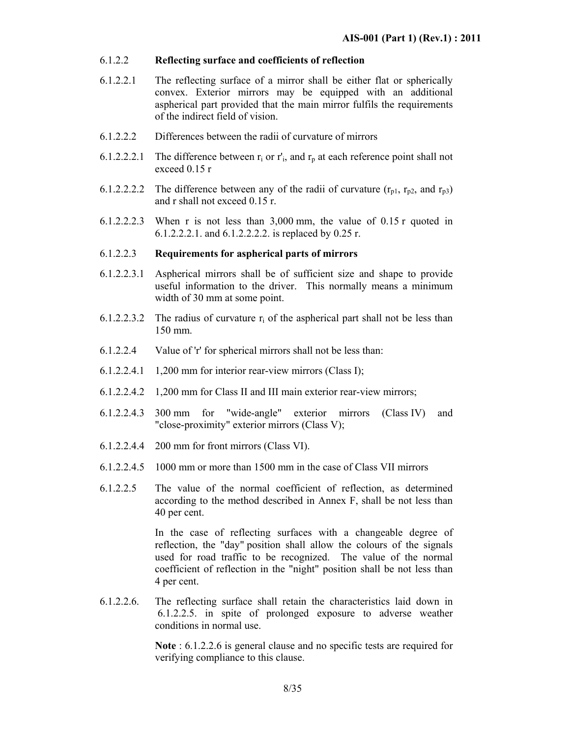### 6.1.2.2 **Reflecting surface and coefficients of reflection**

- 6.1.2.2.1 The reflecting surface of a mirror shall be either flat or spherically convex. Exterior mirrors may be equipped with an additional aspherical part provided that the main mirror fulfils the requirements of the indirect field of vision.
- 6.1.2.2.2 Differences between the radii of curvature of mirrors
- 6.1.2.2.2.1 The difference between  $r_i$  or  $r'_i$ , and  $r_p$  at each reference point shall not exceed 0.15 r
- 6.1.2.2.2.2 The difference between any of the radii of curvature  $(r_{p1}, r_{p2}, \text{ and } r_{p3})$ and r shall not exceed 0.15 r.
- 6.1.2.2.2.3 When r is not less than 3,000 mm, the value of 0.15 r quoted in 6.1.2.2.2.1. and 6.1.2.2.2.2. is replaced by 0.25 r.

### 6.1.2.2.3 **Requirements for aspherical parts of mirrors**

- 6.1.2.2.3.1 Aspherical mirrors shall be of sufficient size and shape to provide useful information to the driver. This normally means a minimum width of 30 mm at some point.
- 6.1.2.2.3.2 The radius of curvature  $r_i$  of the aspherical part shall not be less than 150 mm.
- 6.1.2.2.4 Value of 'r' for spherical mirrors shall not be less than:
- 6.1.2.2.4.1 1,200 mm for interior rear-view mirrors (Class I);
- 6.1.2.2.4.2 1,200 mm for Class II and III main exterior rear-view mirrors;
- 6.1.2.2.4.3 300 mm for "wide-angle" exterior mirrors (Class IV) and "close-proximity" exterior mirrors (Class V);
- 6.1.2.2.4.4 200 mm for front mirrors (Class VI).
- 6.1.2.2.4.5 1000 mm or more than 1500 mm in the case of Class VII mirrors
- 6.1.2.2.5 The value of the normal coefficient of reflection, as determined according to the method described in Annex F, shall be not less than 40 per cent.

 In the case of reflecting surfaces with a changeable degree of reflection, the "day" position shall allow the colours of the signals used for road traffic to be recognized. The value of the normal coefficient of reflection in the "night" position shall be not less than 4 per cent.

6.1.2.2.6. The reflecting surface shall retain the characteristics laid down in 6.1.2.2.5. in spite of prolonged exposure to adverse weather conditions in normal use.

> **Note** : 6.1.2.2.6 is general clause and no specific tests are required for verifying compliance to this clause.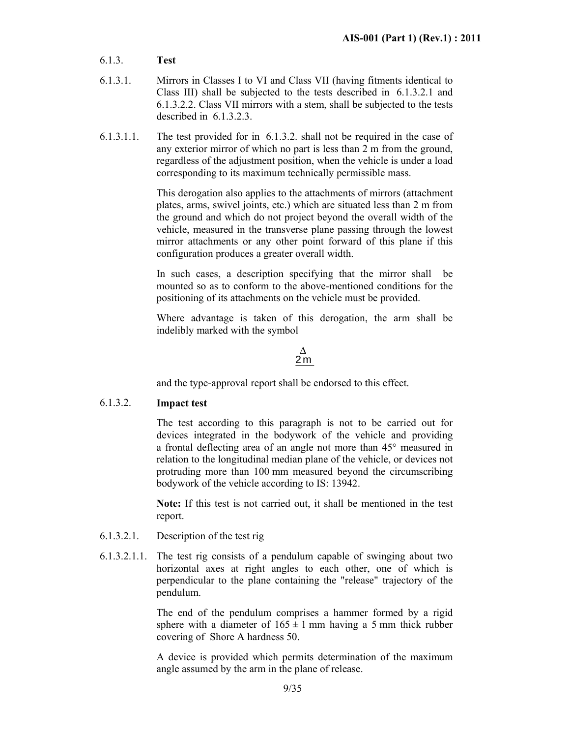- 6.1.3. **Test**
- 6.1.3.1. Mirrors in Classes I to VI and Class VII (having fitments identical to Class III) shall be subjected to the tests described in 6.1.3.2.1 and 6.1.3.2.2. Class VII mirrors with a stem, shall be subjected to the tests described in 6.1.3.2.3.
- 6.1.3.1.1. The test provided for in 6.1.3.2. shall not be required in the case of any exterior mirror of which no part is less than 2 m from the ground, regardless of the adjustment position, when the vehicle is under a load corresponding to its maximum technically permissible mass.

 This derogation also applies to the attachments of mirrors (attachment plates, arms, swivel joints, etc.) which are situated less than 2 m from the ground and which do not project beyond the overall width of the vehicle, measured in the transverse plane passing through the lowest mirror attachments or any other point forward of this plane if this configuration produces a greater overall width.

 In such cases, a description specifying that the mirror shall be mounted so as to conform to the above-mentioned conditions for the positioning of its attachments on the vehicle must be provided.

 Where advantage is taken of this derogation, the arm shall be indelibly marked with the symbol

> 2 m ∆

and the type-approval report shall be endorsed to this effect.

### 6.1.3.2. **Impact test**

 The test according to this paragraph is not to be carried out for devices integrated in the bodywork of the vehicle and providing a frontal deflecting area of an angle not more than 45° measured in relation to the longitudinal median plane of the vehicle, or devices not protruding more than 100 mm measured beyond the circumscribing bodywork of the vehicle according to IS: 13942.

 **Note:** If this test is not carried out, it shall be mentioned in the test report.

- 6.1.3.2.1. Description of the test rig
- 6.1.3.2.1.1. The test rig consists of a pendulum capable of swinging about two horizontal axes at right angles to each other, one of which is perpendicular to the plane containing the "release" trajectory of the pendulum.

 The end of the pendulum comprises a hammer formed by a rigid sphere with a diameter of  $165 \pm 1$  mm having a 5 mm thick rubber covering of Shore A hardness 50.

A device is provided which permits determination of the maximum angle assumed by the arm in the plane of release.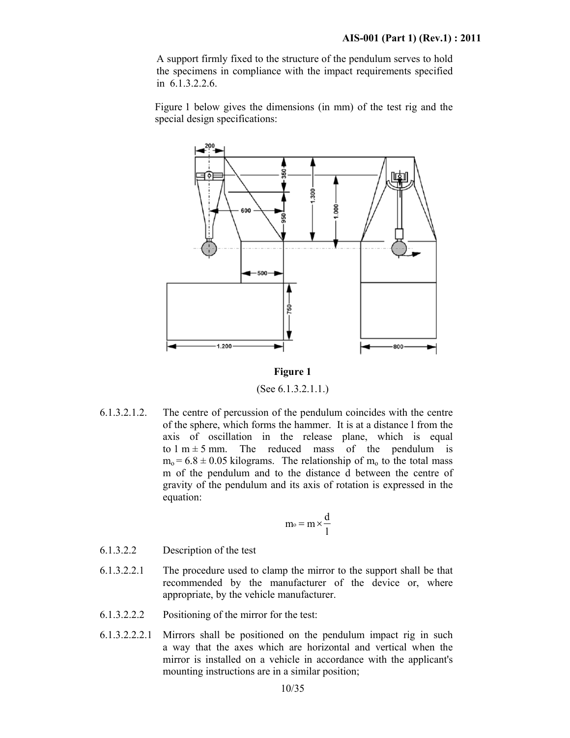A support firmly fixed to the structure of the pendulum serves to hold the specimens in compliance with the impact requirements specified in 6.1.3.2.2.6.

Figure 1 below gives the dimensions (in mm) of the test rig and the special design specifications:



**Figure 1** 

(See 6.1.3.2.1.1.)

6.1.3.2.1.2. The centre of percussion of the pendulum coincides with the centre of the sphere, which forms the hammer. It is at a distance l from the axis of oscillation in the release plane, which is equal to  $1 \text{ m} \pm 5 \text{ mm}$ . The reduced mass of the pendulum is  $m_0$  = 6.8  $\pm$  0.05 kilograms. The relationship of  $m_0$  to the total mass m of the pendulum and to the distance d between the centre of gravity of the pendulum and its axis of rotation is expressed in the equation:

$$
m_{\text{o}} = m \times \frac{d}{l}
$$

- 6.1.3.2.2 Description of the test
- 6.1.3.2.2.1 The procedure used to clamp the mirror to the support shall be that recommended by the manufacturer of the device or, where appropriate, by the vehicle manufacturer.
- 6.1.3.2.2.2 Positioning of the mirror for the test:
- 6.1.3.2.2.2.1 Mirrors shall be positioned on the pendulum impact rig in such a way that the axes which are horizontal and vertical when the mirror is installed on a vehicle in accordance with the applicant's mounting instructions are in a similar position;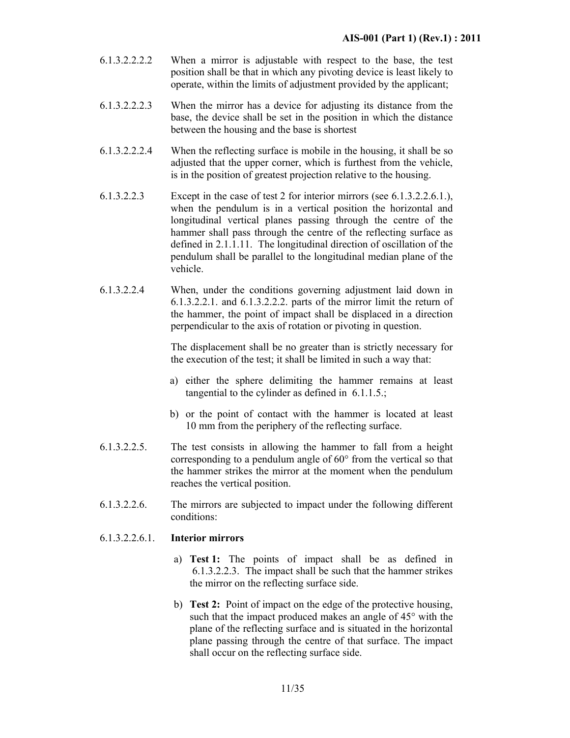- 6.1.3.2.2.2.2 When a mirror is adjustable with respect to the base, the test position shall be that in which any pivoting device is least likely to operate, within the limits of adjustment provided by the applicant;
- 6.1.3.2.2.2.3 When the mirror has a device for adjusting its distance from the base, the device shall be set in the position in which the distance between the housing and the base is shortest
- 6.1.3.2.2.2.4 When the reflecting surface is mobile in the housing, it shall be so adjusted that the upper corner, which is furthest from the vehicle, is in the position of greatest projection relative to the housing.
- 6.1.3.2.2.3 Except in the case of test 2 for interior mirrors (see 6.1.3.2.2.6.1.), when the pendulum is in a vertical position the horizontal and longitudinal vertical planes passing through the centre of the hammer shall pass through the centre of the reflecting surface as defined in 2.1.1.11. The longitudinal direction of oscillation of the pendulum shall be parallel to the longitudinal median plane of the vehicle.
- 6.1.3.2.2.4 When, under the conditions governing adjustment laid down in 6.1.3.2.2.1. and 6.1.3.2.2.2. parts of the mirror limit the return of the hammer, the point of impact shall be displaced in a direction perpendicular to the axis of rotation or pivoting in question.

 The displacement shall be no greater than is strictly necessary for the execution of the test; it shall be limited in such a way that:

- a) either the sphere delimiting the hammer remains at least tangential to the cylinder as defined in 6.1.1.5.;
- b) or the point of contact with the hammer is located at least 10 mm from the periphery of the reflecting surface.
- 6.1.3.2.2.5. The test consists in allowing the hammer to fall from a height corresponding to a pendulum angle of 60° from the vertical so that the hammer strikes the mirror at the moment when the pendulum reaches the vertical position.
- 6.1.3.2.2.6. The mirrors are subjected to impact under the following different conditions:

### 6.1.3.2.2.6.1. **Interior mirrors**

- a) **Test 1:** The points of impact shall be as defined in 6.1.3.2.2.3. The impact shall be such that the hammer strikes the mirror on the reflecting surface side.
- b) **Test 2:** Point of impact on the edge of the protective housing, such that the impact produced makes an angle of 45° with the plane of the reflecting surface and is situated in the horizontal plane passing through the centre of that surface. The impact shall occur on the reflecting surface side.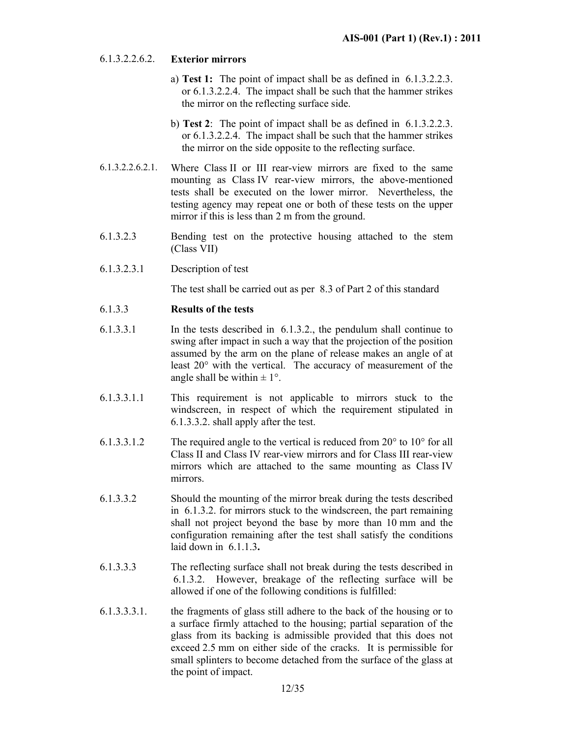### 6.1.3.2.2.6.2. **Exterior mirrors**

- a) **Test 1:** The point of impact shall be as defined in 6.1.3.2.2.3. or 6.1.3.2.2.4. The impact shall be such that the hammer strikes the mirror on the reflecting surface side.
- b) **Test 2**: The point of impact shall be as defined in 6.1.3.2.2.3. or 6.1.3.2.2.4. The impact shall be such that the hammer strikes the mirror on the side opposite to the reflecting surface.
- 6.1.3.2.2.6.2.1. Where Class II or III rear-view mirrors are fixed to the same mounting as Class IV rear-view mirrors, the above-mentioned tests shall be executed on the lower mirror. Nevertheless, the testing agency may repeat one or both of these tests on the upper mirror if this is less than 2 m from the ground.
- 6.1.3.2.3 Bending test on the protective housing attached to the stem (Class VII)
- 6.1.3.2.3.1 Description of test

The test shall be carried out as per 8.3 of Part 2 of this standard

### 6.1.3.3 **Results of the tests**

- 6.1.3.3.1 In the tests described in 6.1.3.2., the pendulum shall continue to swing after impact in such a way that the projection of the position assumed by the arm on the plane of release makes an angle of at least 20° with the vertical. The accuracy of measurement of the angle shall be within  $\pm 1^{\circ}$ .
- 6.1.3.3.1.1 This requirement is not applicable to mirrors stuck to the windscreen, in respect of which the requirement stipulated in 6.1.3.3.2. shall apply after the test.
- 6.1.3.3.1.2 The required angle to the vertical is reduced from 20° to 10° for all Class II and Class IV rear-view mirrors and for Class III rear-view mirrors which are attached to the same mounting as Class IV mirrors.
- 6.1.3.3.2 Should the mounting of the mirror break during the tests described in 6.1.3.2. for mirrors stuck to the windscreen, the part remaining shall not project beyond the base by more than 10 mm and the configuration remaining after the test shall satisfy the conditions laid down in 6.1.1.3**.**
- 6.1.3.3.3 The reflecting surface shall not break during the tests described in 6.1.3.2. However, breakage of the reflecting surface will be allowed if one of the following conditions is fulfilled:
- 6.1.3.3.3.1. the fragments of glass still adhere to the back of the housing or to a surface firmly attached to the housing; partial separation of the glass from its backing is admissible provided that this does not exceed 2.5 mm on either side of the cracks. It is permissible for small splinters to become detached from the surface of the glass at the point of impact.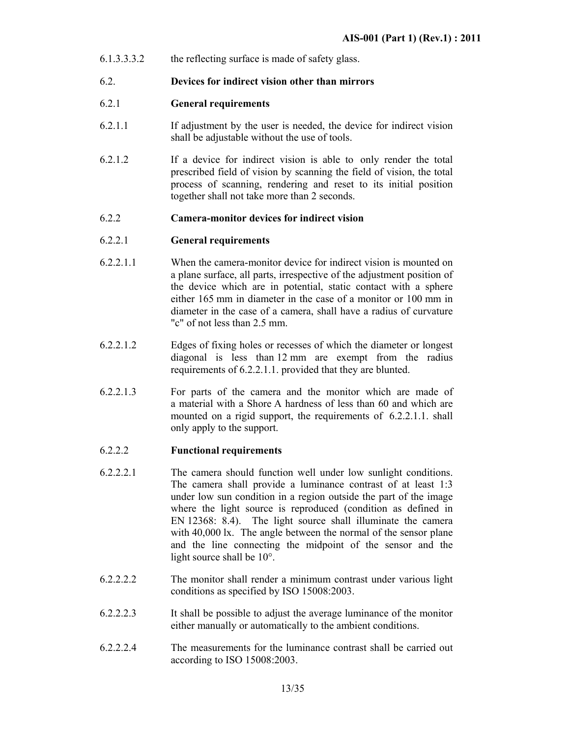6.1.3.3.3.2 the reflecting surface is made of safety glass.

### 6.2. **Devices for indirect vision other than mirrors**

### 6.2.1 **General requirements**

- 6.2.1.1 If adjustment by the user is needed, the device for indirect vision shall be adjustable without the use of tools.
- 6.2.1.2 If a device for indirect vision is able to only render the total prescribed field of vision by scanning the field of vision, the total process of scanning, rendering and reset to its initial position together shall not take more than 2 seconds.

### 6.2.2 **Camera-monitor devices for indirect vision**

### 6.2.2.1 **General requirements**

- 6.2.2.1.1 When the camera-monitor device for indirect vision is mounted on a plane surface, all parts, irrespective of the adjustment position of the device which are in potential, static contact with a sphere either 165 mm in diameter in the case of a monitor or 100 mm in diameter in the case of a camera, shall have a radius of curvature "c" of not less than 2.5 mm.
- 6.2.2.1.2 Edges of fixing holes or recesses of which the diameter or longest diagonal is less than 12 mm are exempt from the radius requirements of 6.2.2.1.1. provided that they are blunted.
- 6.2.2.1.3 For parts of the camera and the monitor which are made of a material with a Shore A hardness of less than 60 and which are mounted on a rigid support, the requirements of 6.2.2.1.1. shall only apply to the support.

### 6.2.2.2 **Functional requirements**

- 6.2.2.2.1 The camera should function well under low sunlight conditions. The camera shall provide a luminance contrast of at least 1:3 under low sun condition in a region outside the part of the image where the light source is reproduced (condition as defined in EN 12368: 8.4). The light source shall illuminate the camera with 40,000 lx. The angle between the normal of the sensor plane and the line connecting the midpoint of the sensor and the light source shall be 10°.
- 6.2.2.2.2 The monitor shall render a minimum contrast under various light conditions as specified by ISO 15008:2003.
- 6.2.2.2.3 It shall be possible to adjust the average luminance of the monitor either manually or automatically to the ambient conditions.
- 6.2.2.2.4 The measurements for the luminance contrast shall be carried out according to ISO 15008:2003.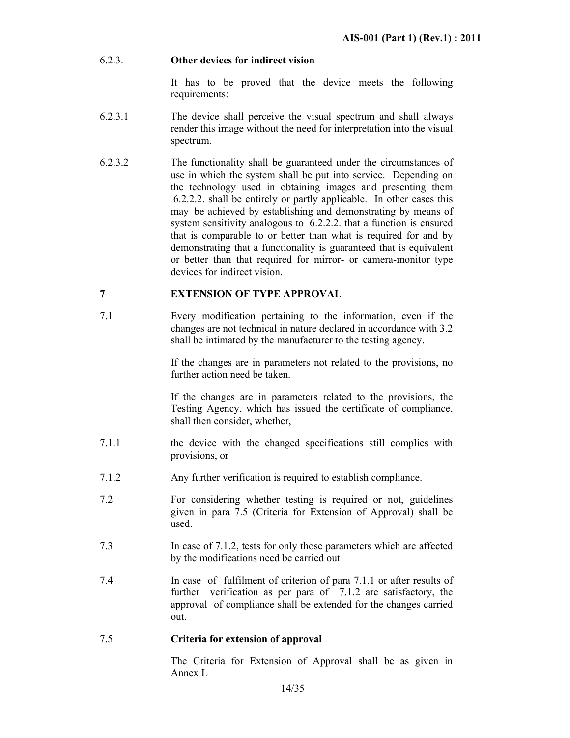### 6.2.3. **Other devices for indirect vision**

 It has to be proved that the device meets the following requirements:

- 6.2.3.1 The device shall perceive the visual spectrum and shall always render this image without the need for interpretation into the visual spectrum.
- 6.2.3.2 The functionality shall be guaranteed under the circumstances of use in which the system shall be put into service. Depending on the technology used in obtaining images and presenting them 6.2.2.2. shall be entirely or partly applicable. In other cases this may be achieved by establishing and demonstrating by means of system sensitivity analogous to 6.2.2.2. that a function is ensured that is comparable to or better than what is required for and by demonstrating that a functionality is guaranteed that is equivalent or better than that required for mirror- or camera-monitor type devices for indirect vision.

### **7 EXTENSION OF TYPE APPROVAL**

7.1 Every modification pertaining to the information, even if the changes are not technical in nature declared in accordance with 3.2 shall be intimated by the manufacturer to the testing agency.

> If the changes are in parameters not related to the provisions, no further action need be taken.

> If the changes are in parameters related to the provisions, the Testing Agency, which has issued the certificate of compliance, shall then consider, whether,

- 7.1.1 the device with the changed specifications still complies with provisions, or
- 7.1.2 Any further verification is required to establish compliance.
- 7.2 For considering whether testing is required or not, guidelines given in para 7.5 (Criteria for Extension of Approval) shall be used.
- 7.3 In case of 7.1.2, tests for only those parameters which are affected by the modifications need be carried out
- 7.4 In case of fulfilment of criterion of para 7.1.1 or after results of further verification as per para of 7.1.2 are satisfactory, the approval of compliance shall be extended for the changes carried out.

### 7.5 **Criteria for extension of approval**

 The Criteria for Extension of Approval shall be as given in Annex L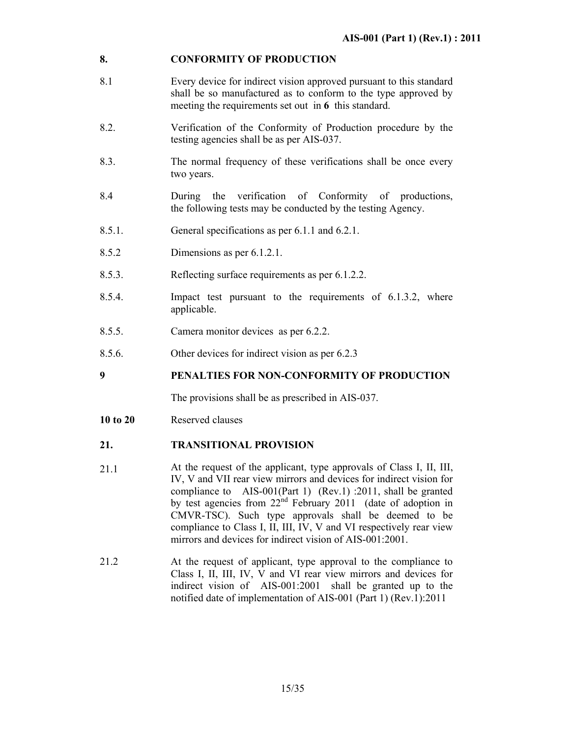### **8. CONFORMITY OF PRODUCTION**

- 8.1 Every device for indirect vision approved pursuant to this standard shall be so manufactured as to conform to the type approved by meeting the requirements set out in **6** this standard.
- 8.2. Verification of the Conformity of Production procedure by the testing agencies shall be as per AIS-037.
- 8.3. The normal frequency of these verifications shall be once every two years.
- 8.4 During the verification of Conformity of productions, the following tests may be conducted by the testing Agency.
- 8.5.1. General specifications as per 6.1.1 and 6.2.1.
- 8.5.2 Dimensions as per 6.1.2.1.
- 8.5.3. Reflecting surface requirements as per 6.1.2.2.
- 8.5.4. Impact test pursuant to the requirements of 6.1.3.2, where applicable.
- 8.5.5. Camera monitor devices as per 6.2.2.
- 8.5.6. Other devices for indirect vision as per 6.2.3

**9 PENALTIES FOR NON-CONFORMITY OF PRODUCTION** 

The provisions shall be as prescribed in AIS-037.

10 to 20 **Reserved clauses** 

#### **21. TRANSITIONAL PROVISION**

- 21.1 At the request of the applicant, type approvals of Class I, II, III, IV, V and VII rear view mirrors and devices for indirect vision for compliance to AIS-001(Part 1) (Rev.1) :2011, shall be granted by test agencies from  $22<sup>nd</sup>$  February 2011 (date of adoption in CMVR-TSC). Such type approvals shall be deemed to be compliance to Class I, II, III, IV, V and VI respectively rear view mirrors and devices for indirect vision of AIS-001:2001.
- 21.2 At the request of applicant, type approval to the compliance to Class I, II, III, IV, V and VI rear view mirrors and devices for indirect vision of AIS-001:2001 shall be granted up to the notified date of implementation of AIS-001 (Part 1) (Rev.1):2011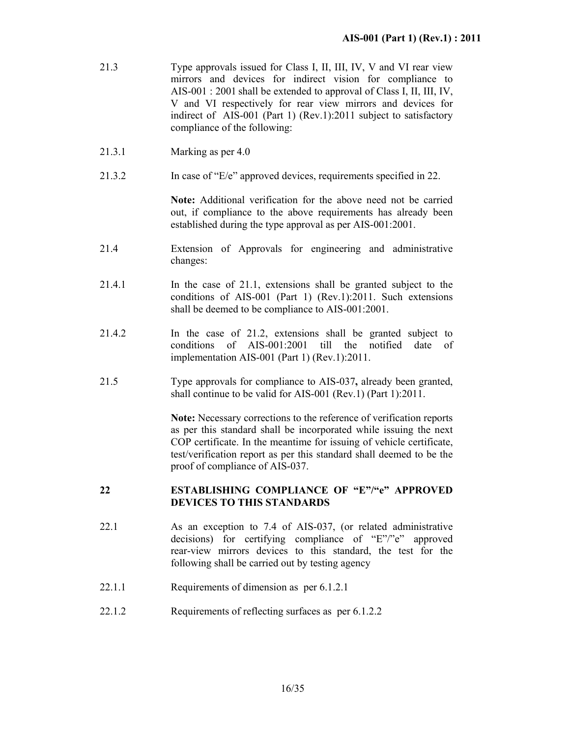- 21.3 Type approvals issued for Class I, II, III, IV, V and VI rear view mirrors and devices for indirect vision for compliance to AIS-001 : 2001 shall be extended to approval of Class I, II, III, IV, V and VI respectively for rear view mirrors and devices for indirect of AIS-001 (Part 1) (Rev.1):2011 subject to satisfactory compliance of the following:
- 21.3.1 Marking as per 4.0
- 21.3.2 In case of "E/e" approved devices, requirements specified in 22.

**Note:** Additional verification for the above need not be carried out, if compliance to the above requirements has already been established during the type approval as per AIS-001:2001.

- 21.4 Extension of Approvals for engineering and administrative changes:
- 21.4.1 In the case of 21.1, extensions shall be granted subject to the conditions of AIS-001 (Part 1) (Rev.1):2011. Such extensions shall be deemed to be compliance to AIS-001:2001.
- 21.4.2 In the case of 21.2, extensions shall be granted subject to conditions of AIS-001:2001 till the notified date of implementation AIS-001 (Part 1) (Rev.1):2011.
- 21.5 Type approvals for compliance to AIS-037**,** already been granted, shall continue to be valid for AIS-001 (Rev.1) (Part 1):2011.

**Note:** Necessary corrections to the reference of verification reports as per this standard shall be incorporated while issuing the next COP certificate. In the meantime for issuing of vehicle certificate, test/verification report as per this standard shall deemed to be the proof of compliance of AIS-037.

### **22 ESTABLISHING COMPLIANCE OF "E"/"e" APPROVED DEVICES TO THIS STANDARDS**

- 22.1 As an exception to 7.4 of AIS-037, (or related administrative decisions) for certifying compliance of "E"/"e" approved rear-view mirrors devices to this standard, the test for the following shall be carried out by testing agency
- 22.1.1 Requirements of dimension as per 6.1.2.1
- 22.1.2 Requirements of reflecting surfaces as per 6.1.2.2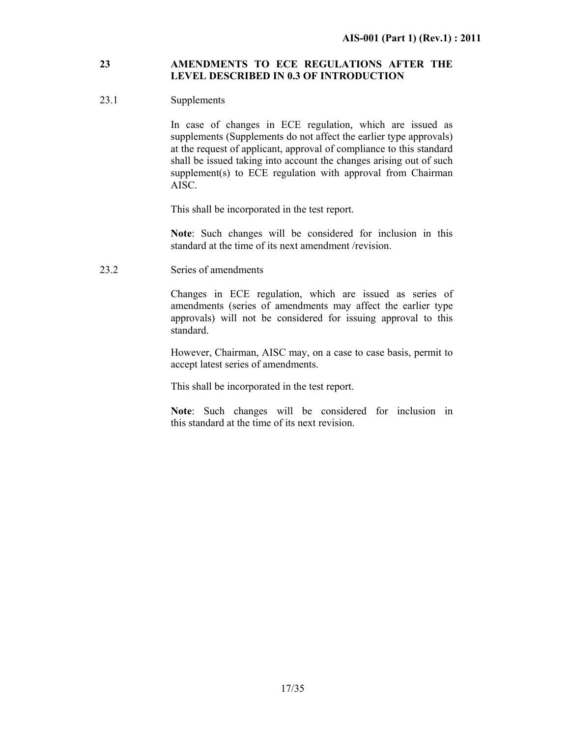### **23 AMENDMENTS TO ECE REGULATIONS AFTER THE LEVEL DESCRIBED IN 0.3 OF INTRODUCTION**

### 23.1 Supplements

 In case of changes in ECE regulation*,* which are issued as supplements (Supplements do not affect the earlier type approvals) at the request of applicant, approval of compliance to this standard shall be issued taking into account the changes arising out of such supplement(s) to ECE regulation with approval from Chairman AISC.

This shall be incorporated in the test report.

**Note**: Such changes will be considered for inclusion in this standard at the time of its next amendment /revision.

23.2 Series of amendments

Changes in ECE regulation, which are issued as series of amendments (series of amendments may affect the earlier type approvals) will not be considered for issuing approval to this standard.

However, Chairman, AISC may, on a case to case basis, permit to accept latest series of amendments.

This shall be incorporated in the test report.

**Note**: Such changes will be considered for inclusion in this standard at the time of its next revision.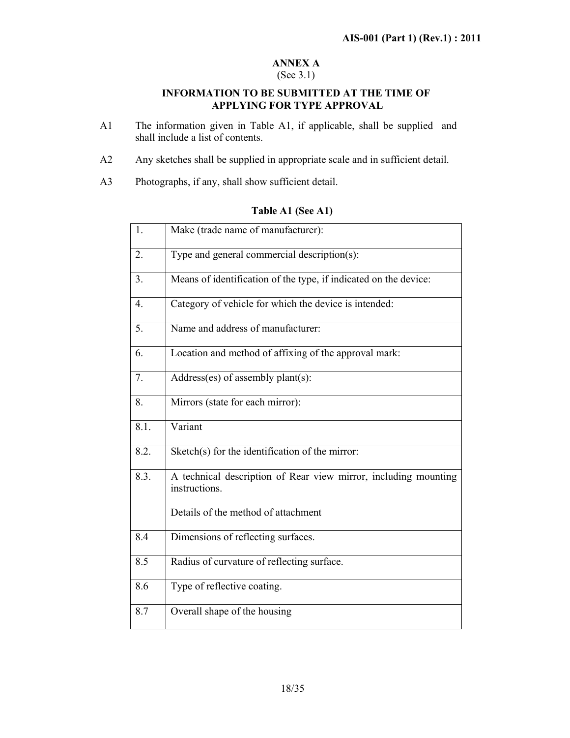### **ANNEX A**

### (See 3.1)

### **INFORMATION TO BE SUBMITTED AT THE TIME OF APPLYING FOR TYPE APPROVAL**

- A1 The information given in Table A1, if applicable, shall be supplied and shall include a list of contents.
- A2 Any sketches shall be supplied in appropriate scale and in sufficient detail.
- A3 Photographs, if any, shall show sufficient detail.

# 1. Make (trade name of manufacturer): 2. Type and general commercial description(s): 3. Means of identification of the type, if indicated on the device: 4. Category of vehicle for which the device is intended: 5. Name and address of manufacturer: 6. Location and method of affixing of the approval mark: 7.  $\Box$  Address(es) of assembly plant(s): 8. Mirrors (state for each mirror): 8.1. Variant 8.2. Sketch(s) for the identification of the mirror: 8.3. A technical description of Rear view mirror, including mounting instructions. Details of the method of attachment 8.4 Dimensions of reflecting surfaces. 8.5 Radius of curvature of reflecting surface. 8.6 Type of reflective coating. 8.7 Overall shape of the housing

### **Table A1 (See A1)**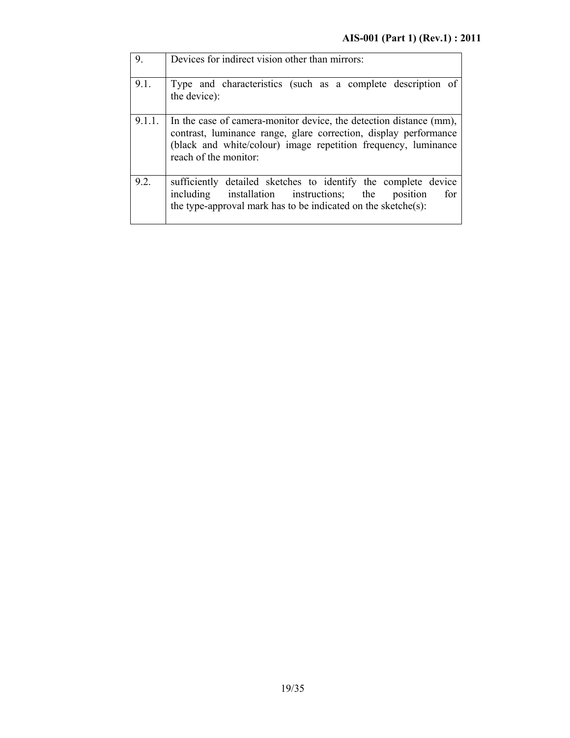| 9.     | Devices for indirect vision other than mirrors:                                                                                                                                                                                   |
|--------|-----------------------------------------------------------------------------------------------------------------------------------------------------------------------------------------------------------------------------------|
| 9.1.   | Type and characteristics (such as a complete description of<br>the device):                                                                                                                                                       |
| 9.1.1. | In the case of camera-monitor device, the detection distance (mm),<br>contrast, luminance range, glare correction, display performance<br>(black and white/colour) image repetition frequency, luminance<br>reach of the monitor: |
| 9.2.   | sufficiently detailed sketches to identify the complete device<br>installation instructions; the<br>for<br>including<br>position<br>the type-approval mark has to be indicated on the sketche $(s)$ :                             |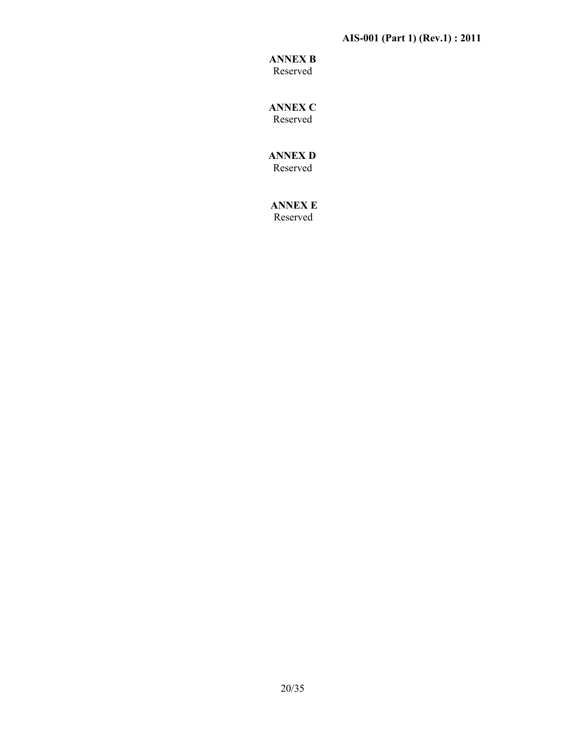### **AIS-001 (Part 1) (Rev.1) : 2011**

### **ANNEX B**  Reserved

**ANNEX C** 

Reserved

 **ANNEX D**  Reserved

 **ANNEX E**  Reserved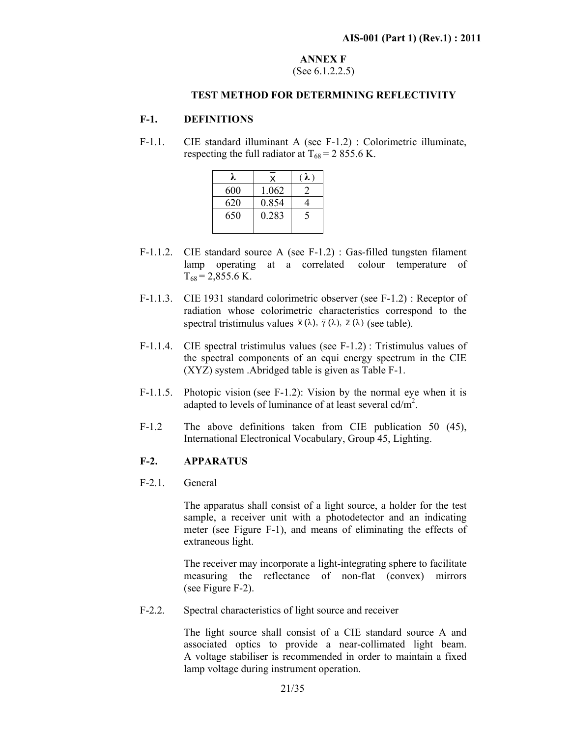### **ANNEX F**  (See 6.1.2.2.5)

### **TEST METHOD FOR DETERMINING REFLECTIVITY**

### **F-1. DEFINITIONS**

F-1.1. CIE standard illuminant A (see F-1.2) : Colorimetric illuminate, respecting the full radiator at  $T_{68} = 2855.6$  K.

|     | X     | $\lambda$ ) |  |
|-----|-------|-------------|--|
| 600 | 1.062 |             |  |
| 620 | 0.854 |             |  |
| 650 | 0.283 |             |  |
|     |       |             |  |

- F-1.1.2. CIE standard source A (see F-1.2) : Gas-filled tungsten filament lamp operating at a correlated colour temperature of  $T_{68} = 2,855.6$  K.
- F-1.1.3. CIE 1931 standard colorimetric observer (see F-1.2) : Receptor of radiation whose colorimetric characteristics correspond to the spectral tristimulus values  $\bar{x}(\lambda)$ ,  $\bar{y}(\lambda)$ ,  $\bar{z}(\lambda)$  (see table).
- F-1.1.4. CIE spectral tristimulus values (see F-1.2) : Tristimulus values of the spectral components of an equi energy spectrum in the CIE (XYZ) system .Abridged table is given as Table F-1.
- F-1.1.5. Photopic vision (see F-1.2): Vision by the normal eye when it is adapted to levels of luminance of at least several  $cd/m^2$ .
- F-1.2 The above definitions taken from CIE publication 50 (45), International Electronical Vocabulary, Group 45, Lighting.

### **F-2. APPARATUS**

F-2.1. General

 The apparatus shall consist of a light source, a holder for the test sample, a receiver unit with a photodetector and an indicating meter (see Figure F-1), and means of eliminating the effects of extraneous light.

 The receiver may incorporate a light-integrating sphere to facilitate measuring the reflectance of non-flat (convex) mirrors (see Figure F-2).

F-2.2. Spectral characteristics of light source and receiver

The light source shall consist of a CIE standard source A and associated optics to provide a near-collimated light beam. A voltage stabiliser is recommended in order to maintain a fixed lamp voltage during instrument operation.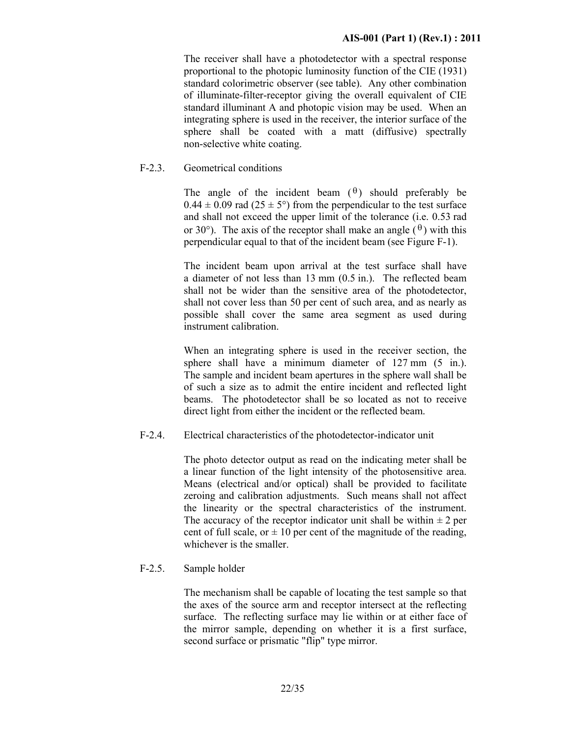The receiver shall have a photodetector with a spectral response proportional to the photopic luminosity function of the CIE (1931) standard colorimetric observer (see table). Any other combination of illuminate-filter-receptor giving the overall equivalent of CIE standard illuminant A and photopic vision may be used. When an integrating sphere is used in the receiver, the interior surface of the sphere shall be coated with a matt (diffusive) spectrally non-selective white coating.

### F-2.3. Geometrical conditions

The angle of the incident beam  $(\theta)$  should preferably be  $0.44 \pm 0.09$  rad (25  $\pm$  5°) from the perpendicular to the test surface and shall not exceed the upper limit of the tolerance (i.e. 0.53 rad or 30°). The axis of the receptor shall make an angle  $(\theta)$  with this perpendicular equal to that of the incident beam (see Figure F-1).

 The incident beam upon arrival at the test surface shall have a diameter of not less than 13 mm (0.5 in.). The reflected beam shall not be wider than the sensitive area of the photodetector, shall not cover less than 50 per cent of such area, and as nearly as possible shall cover the same area segment as used during instrument calibration.

 When an integrating sphere is used in the receiver section, the sphere shall have a minimum diameter of 127 mm  $(5 \text{ in.})$ . The sample and incident beam apertures in the sphere wall shall be of such a size as to admit the entire incident and reflected light beams. The photodetector shall be so located as not to receive direct light from either the incident or the reflected beam.

F-2.4. Electrical characteristics of the photodetector-indicator unit

 The photo detector output as read on the indicating meter shall be a linear function of the light intensity of the photosensitive area. Means (electrical and/or optical) shall be provided to facilitate zeroing and calibration adjustments. Such means shall not affect the linearity or the spectral characteristics of the instrument. The accuracy of the receptor indicator unit shall be within  $\pm 2$  per cent of full scale, or  $\pm 10$  per cent of the magnitude of the reading, whichever is the smaller.

### F-2.5. Sample holder

 The mechanism shall be capable of locating the test sample so that the axes of the source arm and receptor intersect at the reflecting surface. The reflecting surface may lie within or at either face of the mirror sample, depending on whether it is a first surface, second surface or prismatic "flip" type mirror.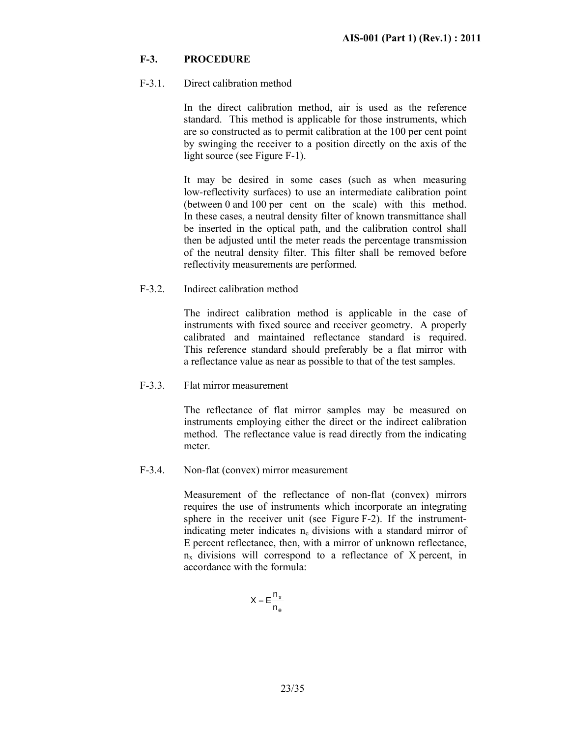### **F-3. PROCEDURE**

### F-3.1. Direct calibration method

 In the direct calibration method, air is used as the reference standard. This method is applicable for those instruments, which are so constructed as to permit calibration at the 100 per cent point by swinging the receiver to a position directly on the axis of the light source (see Figure F-1).

 It may be desired in some cases (such as when measuring low-reflectivity surfaces) to use an intermediate calibration point (between 0 and 100 per cent on the scale) with this method. In these cases, a neutral density filter of known transmittance shall be inserted in the optical path, and the calibration control shall then be adjusted until the meter reads the percentage transmission of the neutral density filter. This filter shall be removed before reflectivity measurements are performed.

### F-3.2. Indirect calibration method

 The indirect calibration method is applicable in the case of instruments with fixed source and receiver geometry. A properly calibrated and maintained reflectance standard is required. This reference standard should preferably be a flat mirror with a reflectance value as near as possible to that of the test samples.

### F-3.3. Flat mirror measurement

 The reflectance of flat mirror samples may be measured on instruments employing either the direct or the indirect calibration method. The reflectance value is read directly from the indicating meter.

### F-3.4. Non-flat (convex) mirror measurement

 Measurement of the reflectance of non-flat (convex) mirrors requires the use of instruments which incorporate an integrating sphere in the receiver unit (see Figure F-2). If the instrumentindicating meter indicates  $n_e$  divisions with a standard mirror of E percent reflectance, then, with a mirror of unknown reflectance,  $n_x$  divisions will correspond to a reflectance of X percent, in accordance with the formula:

$$
X = E \frac{n_x}{n_e}
$$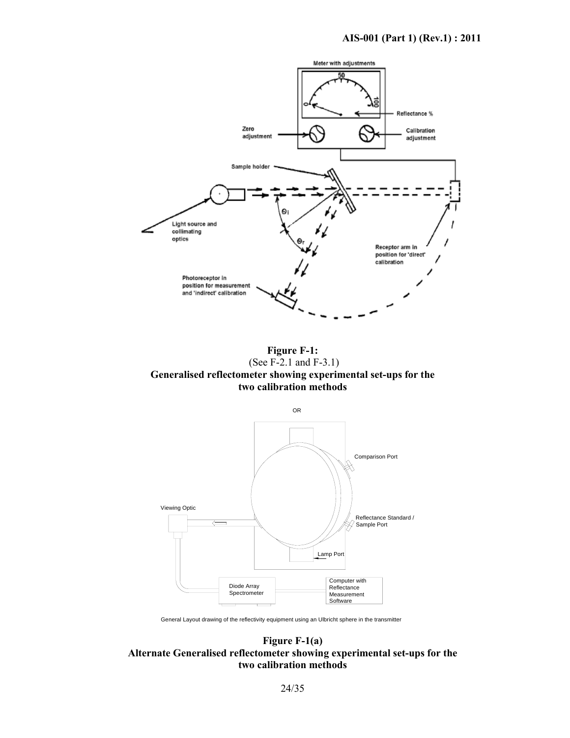

**Figure F-1:**  (See F-2.1 and F-3.1) **Generalised reflectometer showing experimental set-ups for the two calibration methods** 



General Layout drawing of the reflectivity equipment using an Ulbricht sphere in the transmitter

### **Figure F-1(a) Alternate Generalised reflectometer showing experimental set-ups for the two calibration methods**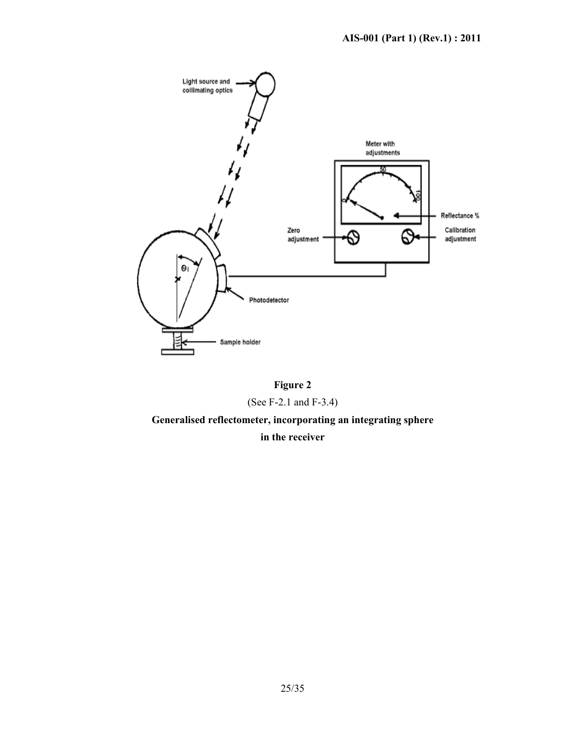

**Figure 2** (See F-2.1 and F-3.4)

**Generalised reflectometer, incorporating an integrating sphere** 

### **in the receiver**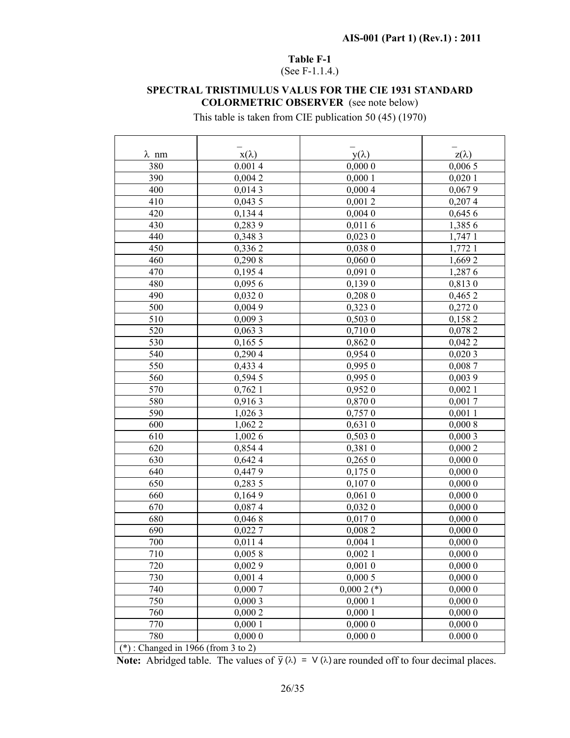### **Table F-1**

(See F-1.1.4.)

### **SPECTRAL TRISTIMULUS VALUS FOR THE CIE 1931 STANDARD COLORMETRIC OBSERVER** (see note below)

This table is taken from CIE publication 50 (45) (1970)

| $\lambda$ nm                | $x(\lambda)$ | $y(\lambda)$ | $z(\lambda)$ |
|-----------------------------|--------------|--------------|--------------|
| 380                         | 0.0014       | 0,0000       | 0,0065       |
| 390                         | 0,0042       | 0,0001       | 0,0201       |
| 400                         | 0,0143       | 0,0004       | 0,0679       |
| 410                         | 0,0435       | 0,0012       | 0,2074       |
| 420                         | 0,1344       | 0,0040       | 0,6456       |
| 430                         | 0,2839       | 0,0116       | 1,385 6      |
| 440                         | 0,348 3      | 0,0230       | 1,747 1      |
| 450                         | 0,3362       | 0,0380       | 1,772 1      |
| 460                         | 0,290 8      | 0,0600       | 1,6692       |
| 470                         | 0,1954       | 0,0910       | 1,2876       |
| 480                         | 0,0956       | 0,1390       | 0,8130       |
| 490                         | 0,0320       | 0,2080       | 0,4652       |
| 500                         | 0,0049       | 0,3230       | 0,2720       |
| 510                         | 0,0093       | 0,5030       | 0,1582       |
| 520                         | 0,0633       | 0,710 0      | 0,0782       |
| 530                         | 0,1655       | 0,8620       | 0,042 2      |
| 540                         | 0,2904       | 0,954 0      | 0,0203       |
| 550                         | 0,433 4      | 0,9950       | 0,0087       |
| 560                         | 0,594 5      | 0,9950       | 0,0039       |
| 570                         | 0,762 1      | 0,952 0      | 0,0021       |
| 580                         | 0,9163       | 0,870 0      | 0,0017       |
| 590                         | 1,026 3      | 0,7570       | 0,0011       |
| 600                         | 1,062 2      | 0,6310       | 0,0008       |
| 610                         | 1,0026       | 0,5030       | 0,0003       |
| 620                         | 0,8544       | 0,381 0      | 0,0002       |
| 630                         | 0,642 4      | 0,2650       | 0,0000       |
| 640                         | 0,4479       | 0,1750       | 0,0000       |
| 650                         | 0,283 5      | 0,1070       | 0,0000       |
| 660                         | 0,1649       | 0,0610       | 0,0000       |
| 670                         | 0,0874       | 0,0320       | 0,0000       |
| 680                         | 0,0468       | 0,0170       | 0,0000       |
| 690                         | 0,0227       | 0,0082       | 0,0000       |
| 700                         | 0,0114       | $0,004$ 1    | 0,0000       |
| 710                         | 0,0058       | 0,0021       | 0,0000       |
| 720                         | 0,0029       | 0,0010       | 0,0000       |
| 730                         | 0,0014       | 0,0005       | 0,0000       |
| 740                         | 0,0007       | $0,0002$ (*) | 0,0000       |
| 750                         | 0,0003       | 0,0001       | 0,0000       |
| 760                         | 0,0002       | 0,0001       | 0,0000       |
| 770                         | 0,0001       | 0,0000       | 0,0000       |
| 780                         | 0,0000       | 0,0000       | 0.0000       |
| $(*)$ Changed in 1066 (from | $2 + 2$      |              |              |

(\*) : Changed in 1966 (from 3 to 2)

**Note:** Abridged table. The values of  $\bar{y}(\lambda) = V(\lambda)$  are rounded off to four decimal places.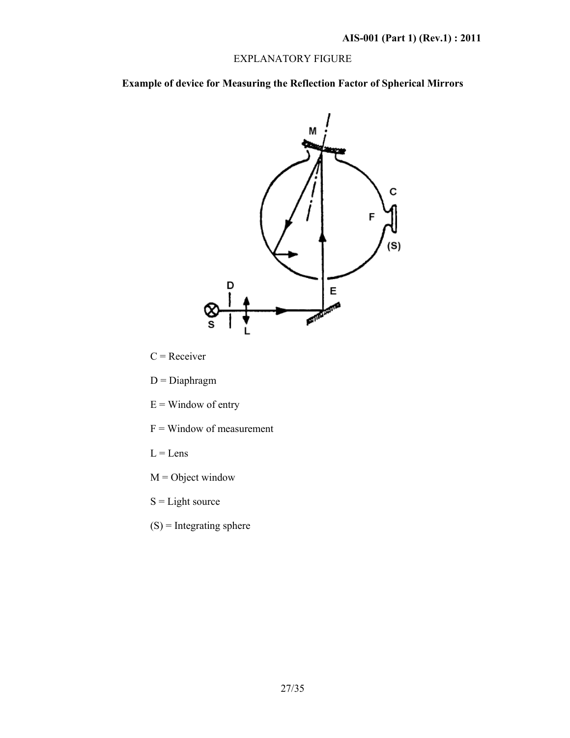### EXPLANATORY FIGURE

**Example of device for Measuring the Reflection Factor of Spherical Mirrors** 



 $C =$  Receiver

- $D = Diaphragm$
- $E =$  Window of entry
- $F =$  Window of measurement
- $L =$ Lens
- $M =$  Object window
- $S =$ Light source
- $(S)$  = Integrating sphere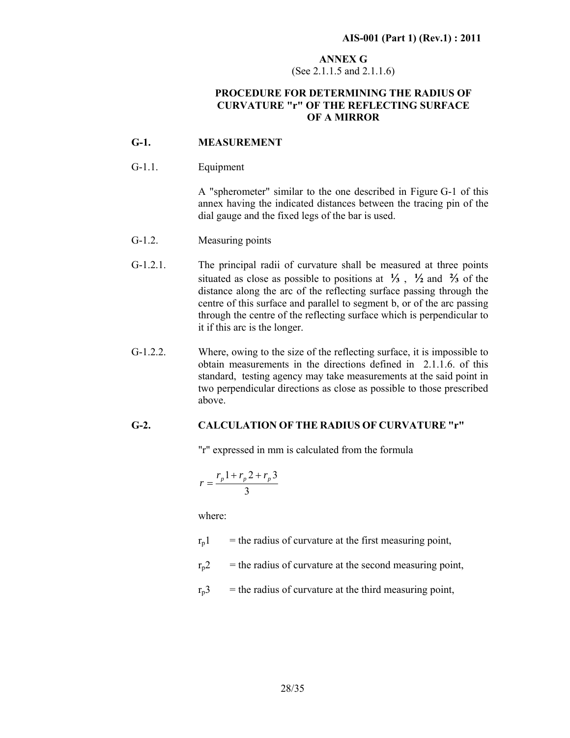### **ANNEX G**  (See 2.1.1.5 and 2.1.1.6)

### **PROCEDURE FOR DETERMINING THE RADIUS OF CURVATURE "r" OF THE REFLECTING SURFACE OF A MIRROR**

### **G-1. MEASUREMENT**

### G-1.1. Equipment

 A "spherometer" similar to the one described in Figure G-1 of this annex having the indicated distances between the tracing pin of the dial gauge and the fixed legs of the bar is used.

- G-1.2. Measuring points
- G-1.2.1. The principal radii of curvature shall be measured at three points situated as close as possible to positions at  $\frac{1}{3}$ ,  $\frac{1}{2}$  and  $\frac{2}{3}$  of the distance along the arc of the reflecting surface passing through the centre of this surface and parallel to segment b, or of the arc passing through the centre of the reflecting surface which is perpendicular to it if this arc is the longer.
- $G-1.2.2.$ Where, owing to the size of the reflecting surface, it is impossible to obtain measurements in the directions defined in 2.1.1.6. of this standard, testing agency may take measurements at the said point in two perpendicular directions as close as possible to those prescribed above.

### **G-2. CALCULATION OF THE RADIUS OF CURVATURE "r"**

"r" expressed in mm is calculated from the formula

$$
r = \frac{r_p 1 + r_p 2 + r_p 3}{3}
$$

where:

 $r_{p}$ 1 = the radius of curvature at the first measuring point,

 $r_p$ <sup>2</sup> = the radius of curvature at the second measuring point,

 $r_p3$  = the radius of curvature at the third measuring point,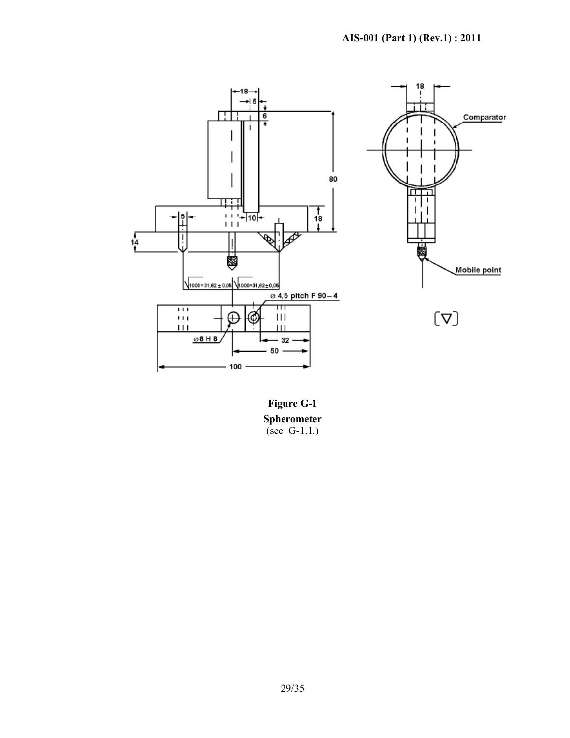

**Figure G-1 Spherometer**  (see G-1.1.)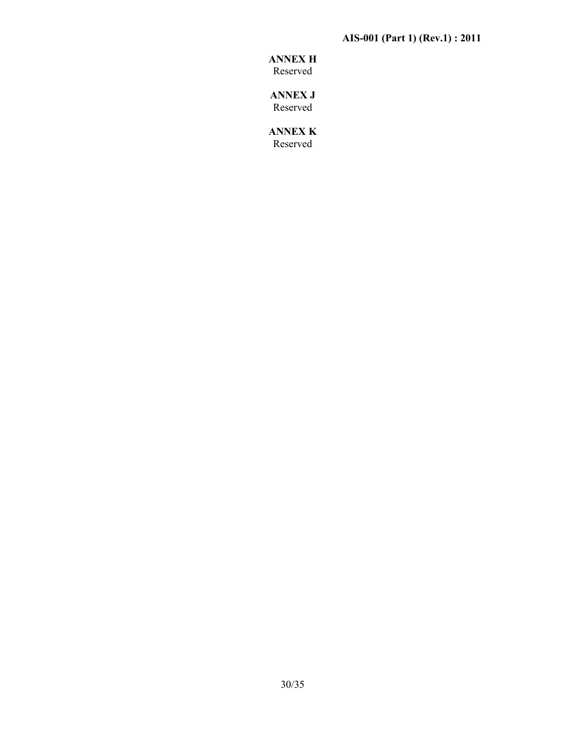### **AIS-001 (Part 1) (Rev.1) : 2011**

## **ANNEX H**

Reserved

**ANNEX J**  Reserved

**ANNEX K**  Reserved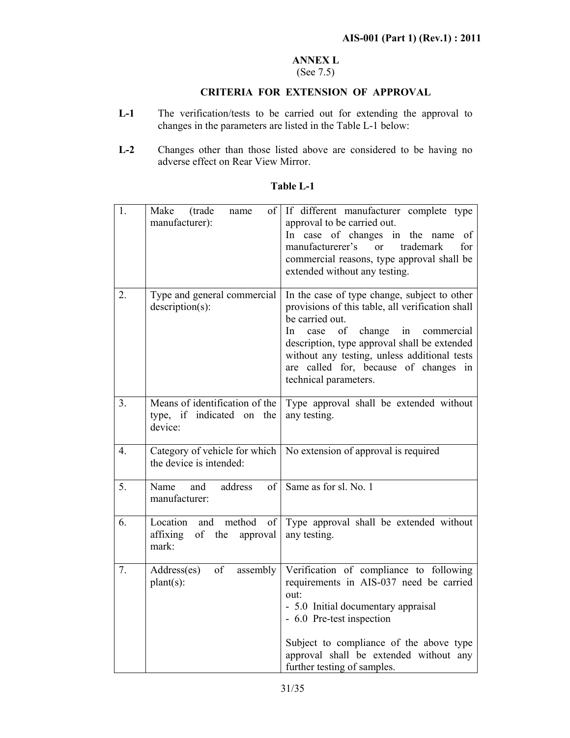### **ANNEX L**

### (See 7.5)

### **CRITERIA FOR EXTENSION OF APPROVAL**

- L-1 The verification/tests to be carried out for extending the approval to changes in the parameters are listed in the Table L-1 below:
- **L-2** Changes other than those listed above are considered to be having no adverse effect on Rear View Mirror.

| 1.               | Make<br>(trade<br>of<br>name<br>manufacturer):                                | If different manufacturer complete type<br>approval to be carried out.<br>In case of changes<br>in the name<br>of<br>trademark<br>manufacturerer's<br>for<br>$\overline{or}$<br>commercial reasons, type approval shall be<br>extended without any testing.                                                                              |
|------------------|-------------------------------------------------------------------------------|------------------------------------------------------------------------------------------------------------------------------------------------------------------------------------------------------------------------------------------------------------------------------------------------------------------------------------------|
| 2.               | Type and general commercial<br>$description(s)$ :                             | In the case of type change, subject to other<br>provisions of this table, all verification shall<br>be carried out.<br>of<br>change<br>case<br>in<br>In.<br>commercial<br>description, type approval shall be extended<br>without any testing, unless additional tests<br>are called for, because of changes in<br>technical parameters. |
| 3 <sub>1</sub>   | Means of identification of the<br>type, if indicated on the<br>device:        | Type approval shall be extended without<br>any testing.                                                                                                                                                                                                                                                                                  |
| $\overline{4}$ . | Category of vehicle for which<br>the device is intended:                      | No extension of approval is required                                                                                                                                                                                                                                                                                                     |
| 5.               | Name<br>address<br>and<br>of<br>manufacturer:                                 | Same as for sl. No. 1                                                                                                                                                                                                                                                                                                                    |
| 6.               | method<br>of<br>Location<br>and<br>of<br>the<br>affixing<br>approval<br>mark: | Type approval shall be extended without<br>any testing.                                                                                                                                                                                                                                                                                  |
| 7.               | of<br>assembly<br>Address(es)<br>$plant(s)$ :                                 | Verification of compliance to following<br>requirements in AIS-037 need be carried<br>out:<br>- 5.0 Initial documentary appraisal<br>- 6.0 Pre-test inspection<br>Subject to compliance of the above type<br>approval shall be extended without any<br>further testing of samples.                                                       |

### **Table L-1**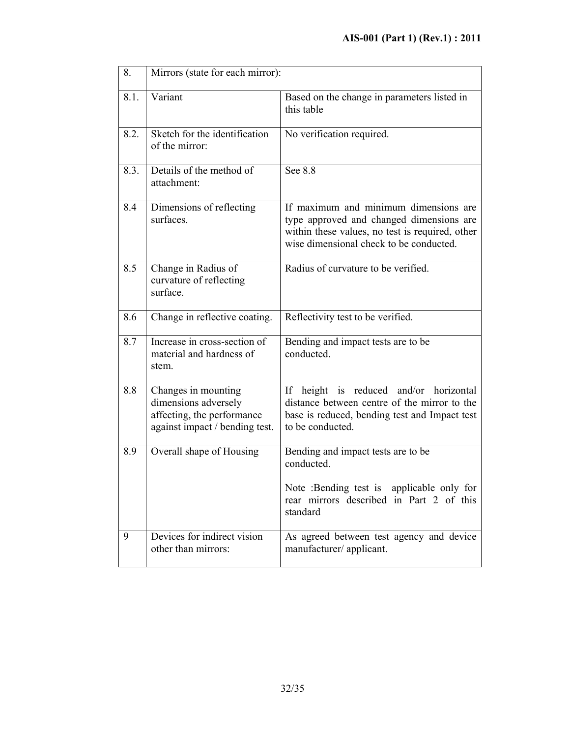| 8.   | Mirrors (state for each mirror):                                                                            |                                                                                                                                                                                 |  |
|------|-------------------------------------------------------------------------------------------------------------|---------------------------------------------------------------------------------------------------------------------------------------------------------------------------------|--|
| 8.1. | Variant                                                                                                     | Based on the change in parameters listed in<br>this table                                                                                                                       |  |
| 8.2. | Sketch for the identification<br>of the mirror:                                                             | No verification required.                                                                                                                                                       |  |
| 8.3. | Details of the method of<br>attachment:                                                                     | See 8.8                                                                                                                                                                         |  |
| 8.4  | Dimensions of reflecting<br>surfaces.                                                                       | If maximum and minimum dimensions are<br>type approved and changed dimensions are<br>within these values, no test is required, other<br>wise dimensional check to be conducted. |  |
| 8.5  | Change in Radius of<br>curvature of reflecting<br>surface.                                                  | Radius of curvature to be verified.                                                                                                                                             |  |
| 8.6  | Change in reflective coating.                                                                               | Reflectivity test to be verified.                                                                                                                                               |  |
| 8.7  | Increase in cross-section of<br>material and hardness of<br>stem.                                           | Bending and impact tests are to be<br>conducted.                                                                                                                                |  |
| 8.8  | Changes in mounting<br>dimensions adversely<br>affecting, the performance<br>against impact / bending test. | If height is reduced and/or horizontal<br>distance between centre of the mirror to the<br>base is reduced, bending test and Impact test<br>to be conducted.                     |  |
| 8.9  | Overall shape of Housing                                                                                    | Bending and impact tests are to be<br>conducted.<br>Note :Bending test is applicable only for<br>rear mirrors described in Part 2 of this<br>standard                           |  |
| 9    | Devices for indirect vision<br>other than mirrors:                                                          | As agreed between test agency and device<br>manufacturer/applicant.                                                                                                             |  |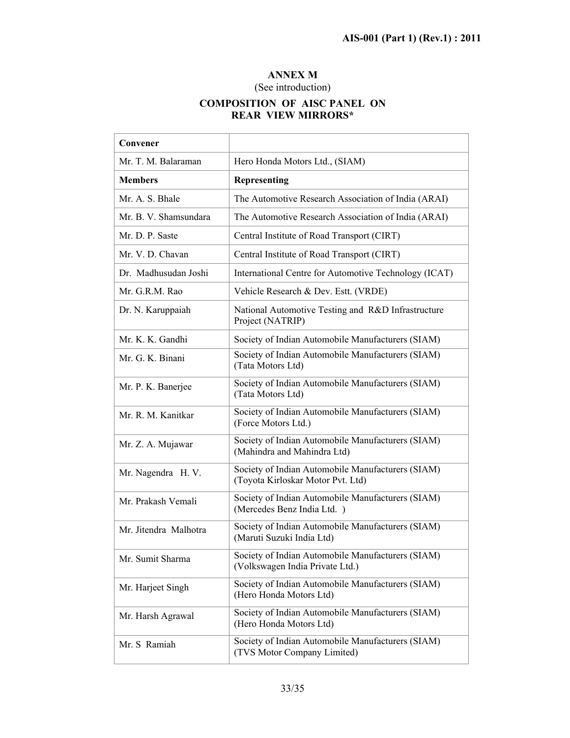### **ANNEX M**

### (See introduction)

### **COMPOSITION OF AISC PANEL ON REAR VIEW MIRRORS\***

| Convener              |                                                                                        |
|-----------------------|----------------------------------------------------------------------------------------|
| Mr. T. M. Balaraman   | Hero Honda Motors Ltd., (SIAM)                                                         |
| <b>Members</b>        | Representing                                                                           |
| Mr. A. S. Bhale       | The Automotive Research Association of India (ARAI)                                    |
| Mr. B. V. Shamsundara | The Automotive Research Association of India (ARAI)                                    |
| Mr. D. P. Saste       | Central Institute of Road Transport (CIRT)                                             |
| Mr. V. D. Chavan      | Central Institute of Road Transport (CIRT)                                             |
| Dr. Madhusudan Joshi  | International Centre for Automotive Technology (ICAT)                                  |
| Mr. G.R.M. Rao        | Vehicle Research & Dev. Estt. (VRDE)                                                   |
| Dr. N. Karuppaiah     | National Automotive Testing and R&D Infrastructure<br>Project (NATRIP)                 |
| Mr. K. K. Gandhi      | Society of Indian Automobile Manufacturers (SIAM)                                      |
| Mr. G. K. Binani      | Society of Indian Automobile Manufacturers (SIAM)<br>(Tata Motors Ltd)                 |
| Mr. P. K. Banerjee    | Society of Indian Automobile Manufacturers (SIAM)<br>(Tata Motors Ltd)                 |
| Mr. R. M. Kanitkar    | Society of Indian Automobile Manufacturers (SIAM)<br>(Force Motors Ltd.)               |
| Mr. Z. A. Mujawar     | Society of Indian Automobile Manufacturers (SIAM)<br>(Mahindra and Mahindra Ltd)       |
| Mr. Nagendra H. V.    | Society of Indian Automobile Manufacturers (SIAM)<br>(Toyota Kirloskar Motor Pvt. Ltd) |
| Mr. Prakash Vemali    | Society of Indian Automobile Manufacturers (SIAM)<br>(Mercedes Benz India Ltd.)        |
| Mr. Jitendra Malhotra | Society of Indian Automobile Manufacturers (SIAM)<br>(Maruti Suzuki India Ltd)         |
| Mr. Sumit Sharma      | Society of Indian Automobile Manufacturers (SIAM)<br>(Volkswagen India Private Ltd.)   |
| Mr. Harjeet Singh     | Society of Indian Automobile Manufacturers (SIAM)<br>(Hero Honda Motors Ltd)           |
| Mr. Harsh Agrawal     | Society of Indian Automobile Manufacturers (SIAM)<br>(Hero Honda Motors Ltd)           |
| Mr. S Ramiah          | Society of Indian Automobile Manufacturers (SIAM)<br>(TVS Motor Company Limited)       |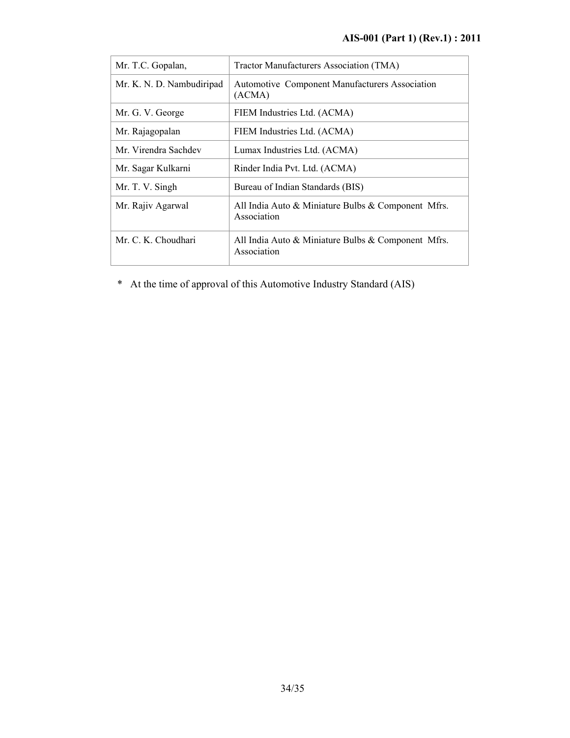| Mr. T.C. Gopalan,         | Tractor Manufacturers Association (TMA)                           |
|---------------------------|-------------------------------------------------------------------|
| Mr. K. N. D. Nambudiripad | Automotive Component Manufacturers Association<br>(ACMA)          |
| Mr. G. V. George          | FIEM Industries Ltd. (ACMA)                                       |
| Mr. Rajagopalan           | FIEM Industries Ltd. (ACMA)                                       |
| Mr. Virendra Sachdev      | Lumax Industries Ltd. (ACMA)                                      |
| Mr. Sagar Kulkarni        | Rinder India Pvt. Ltd. (ACMA)                                     |
| Mr. T. V. Singh           | Bureau of Indian Standards (BIS)                                  |
| Mr. Rajiv Agarwal         | All India Auto & Miniature Bulbs & Component Mfrs.<br>Association |
| Mr. C. K. Choudhari       | All India Auto & Miniature Bulbs & Component Mfrs.<br>Association |

\* At the time of approval of this Automotive Industry Standard (AIS)